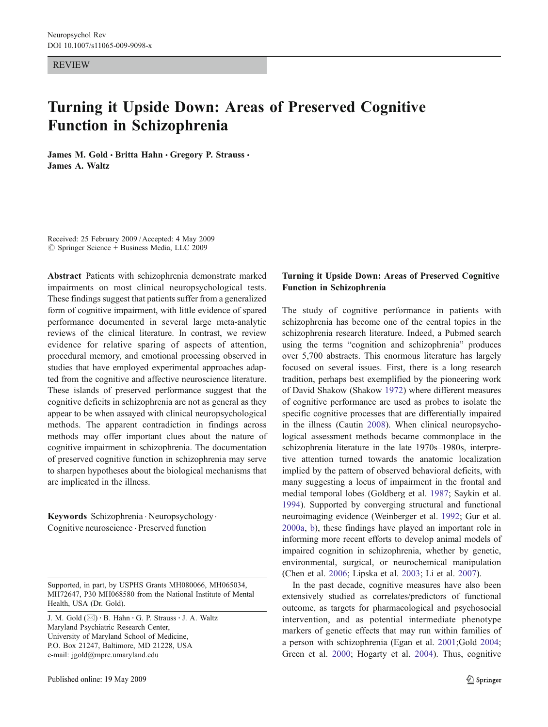REVIEW

# Turning it Upside Down: Areas of Preserved Cognitive Function in Schizophrenia

James M. Gold · Britta Hahn · Gregory P. Strauss · James A. Waltz

Received: 25 February 2009 /Accepted: 4 May 2009  $\oslash$  Springer Science + Business Media, LLC 2009

Abstract Patients with schizophrenia demonstrate marked impairments on most clinical neuropsychological tests. These findings suggest that patients suffer from a generalized form of cognitive impairment, with little evidence of spared performance documented in several large meta-analytic reviews of the clinical literature. In contrast, we review evidence for relative sparing of aspects of attention, procedural memory, and emotional processing observed in studies that have employed experimental approaches adapted from the cognitive and affective neuroscience literature. These islands of preserved performance suggest that the cognitive deficits in schizophrenia are not as general as they appear to be when assayed with clinical neuropsychological methods. The apparent contradiction in findings across methods may offer important clues about the nature of cognitive impairment in schizophrenia. The documentation of preserved cognitive function in schizophrenia may serve to sharpen hypotheses about the biological mechanisms that are implicated in the illness.

Keywords Schizophrenia . Neuropsychology. Cognitive neuroscience . Preserved function

# Turning it Upside Down: Areas of Preserved Cognitive Function in Schizophrenia

The study of cognitive performance in patients with schizophrenia has become one of the central topics in the schizophrenia research literature. Indeed, a Pubmed search using the terms "cognition and schizophrenia" produces over 5,700 abstracts. This enormous literature has largely focused on several issues. First, there is a long research tradition, perhaps best exemplified by the pioneering work of David Shakow (Shakow [1972](#page-16-0)) where different measures of cognitive performance are used as probes to isolate the specific cognitive processes that are differentially impaired in the illness (Cautin [2008](#page-13-0)). When clinical neuropsychological assessment methods became commonplace in the schizophrenia literature in the late 1970s–1980s, interpretive attention turned towards the anatomic localization implied by the pattern of observed behavioral deficits, with many suggesting a locus of impairment in the frontal and medial temporal lobes (Goldberg et al. [1987;](#page-14-0) Saykin et al. [1994\)](#page-16-0). Supported by converging structural and functional neuroimaging evidence (Weinberger et al. [1992;](#page-17-0) Gur et al. [2000a](#page-14-0), [b](#page-14-0)), these findings have played an important role in informing more recent efforts to develop animal models of impaired cognition in schizophrenia, whether by genetic, environmental, surgical, or neurochemical manipulation (Chen et al. [2006](#page-13-0); Lipska et al. [2003;](#page-15-0) Li et al. [2007](#page-15-0)).

In the past decade, cognitive measures have also been extensively studied as correlates/predictors of functional outcome, as targets for pharmacological and psychosocial intervention, and as potential intermediate phenotype markers of genetic effects that may run within families of a person with schizophrenia (Egan et al. [2001;](#page-13-0)Gold [2004](#page-14-0); Green et al. [2000](#page-14-0); Hogarty et al. [2004\)](#page-14-0). Thus, cognitive

Supported, in part, by USPHS Grants MH080066, MH065034, MH72647, P30 MH068580 from the National Institute of Mental Health, USA (Dr. Gold).

J. M. Gold (*\**) : B. Hahn : G. P. Strauss: J. A. Waltz Maryland Psychiatric Research Center, University of Maryland School of Medicine, P.O. Box 21247, Baltimore, MD 21228, USA e-mail: jgold@mprc.umaryland.edu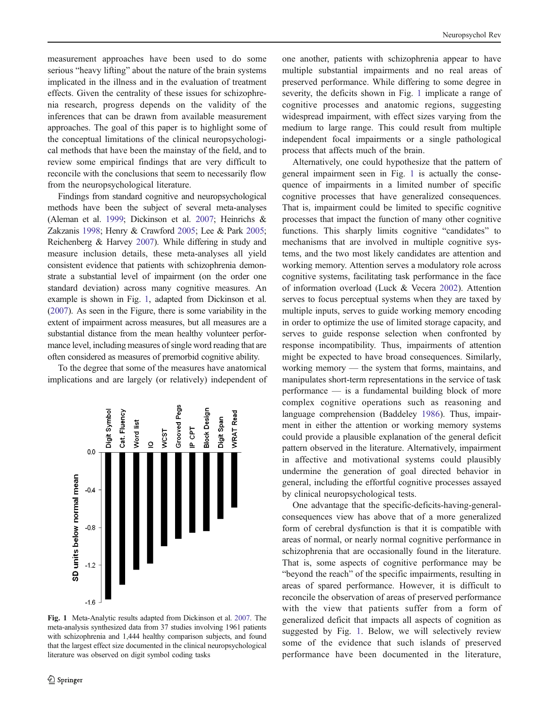measurement approaches have been used to do some serious "heavy lifting" about the nature of the brain systems implicated in the illness and in the evaluation of treatment effects. Given the centrality of these issues for schizophrenia research, progress depends on the validity of the inferences that can be drawn from available measurement approaches. The goal of this paper is to highlight some of the conceptual limitations of the clinical neuropsychological methods that have been the mainstay of the field, and to review some empirical findings that are very difficult to reconcile with the conclusions that seem to necessarily flow from the neuropsychological literature.

Findings from standard cognitive and neuropsychological methods have been the subject of several meta-analyses (Aleman et al. [1999](#page-12-0); Dickinson et al. [2007](#page-13-0); Heinrichs & Zakzanis [1998;](#page-14-0) Henry & Crawford [2005](#page-14-0); Lee & Park [2005](#page-15-0); Reichenberg & Harvey [2007](#page-16-0)). While differing in study and measure inclusion details, these meta-analyses all yield consistent evidence that patients with schizophrenia demonstrate a substantial level of impairment (on the order one standard deviation) across many cognitive measures. An example is shown in Fig. 1, adapted from Dickinson et al. ([2007](#page-13-0)). As seen in the Figure, there is some variability in the extent of impairment across measures, but all measures are a substantial distance from the mean healthy volunteer performance level, including measures of single word reading that are often considered as measures of premorbid cognitive ability.

To the degree that some of the measures have anatomical implications and are largely (or relatively) independent of



Fig. 1 Meta-Analytic results adapted from Dickinson et al. [2007.](#page-13-0) The meta-analysis synthesized data from 37 studies involving 1961 patients with schizophrenia and 1,444 healthy comparison subjects, and found that the largest effect size documented in the clinical neuropsychological literature was observed on digit symbol coding tasks

one another, patients with schizophrenia appear to have multiple substantial impairments and no real areas of preserved performance. While differing to some degree in severity, the deficits shown in Fig. 1 implicate a range of cognitive processes and anatomic regions, suggesting widespread impairment, with effect sizes varying from the medium to large range. This could result from multiple independent focal impairments or a single pathological process that affects much of the brain.

Alternatively, one could hypothesize that the pattern of general impairment seen in Fig. 1 is actually the consequence of impairments in a limited number of specific cognitive processes that have generalized consequences. That is, impairment could be limited to specific cognitive processes that impact the function of many other cognitive functions. This sharply limits cognitive "candidates" to mechanisms that are involved in multiple cognitive systems, and the two most likely candidates are attention and working memory. Attention serves a modulatory role across cognitive systems, facilitating task performance in the face of information overload (Luck & Vecera [2002\)](#page-15-0). Attention serves to focus perceptual systems when they are taxed by multiple inputs, serves to guide working memory encoding in order to optimize the use of limited storage capacity, and serves to guide response selection when confronted by response incompatibility. Thus, impairments of attention might be expected to have broad consequences. Similarly, working memory — the system that forms, maintains, and manipulates short-term representations in the service of task performance — is a fundamental building block of more complex cognitive operations such as reasoning and language comprehension (Baddeley [1986](#page-12-0)). Thus, impairment in either the attention or working memory systems could provide a plausible explanation of the general deficit pattern observed in the literature. Alternatively, impairment in affective and motivational systems could plausibly undermine the generation of goal directed behavior in general, including the effortful cognitive processes assayed by clinical neuropsychological tests.

One advantage that the specific-deficits-having-generalconsequences view has above that of a more generalized form of cerebral dysfunction is that it is compatible with areas of normal, or nearly normal cognitive performance in schizophrenia that are occasionally found in the literature. That is, some aspects of cognitive performance may be "beyond the reach" of the specific impairments, resulting in areas of spared performance. However, it is difficult to reconcile the observation of areas of preserved performance with the view that patients suffer from a form of generalized deficit that impacts all aspects of cognition as suggested by Fig. 1. Below, we will selectively review some of the evidence that such islands of preserved performance have been documented in the literature,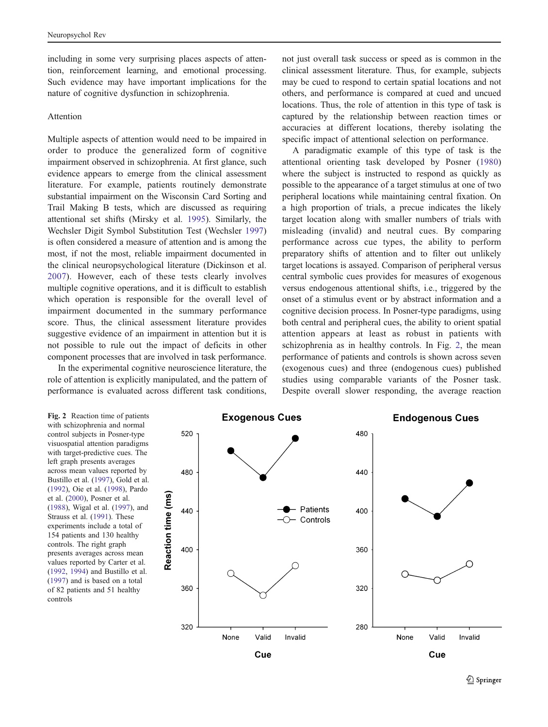including in some very surprising places aspects of attention, reinforcement learning, and emotional processing. Such evidence may have important implications for the nature of cognitive dysfunction in schizophrenia.

## Attention

Multiple aspects of attention would need to be impaired in order to produce the generalized form of cognitive impairment observed in schizophrenia. At first glance, such evidence appears to emerge from the clinical assessment literature. For example, patients routinely demonstrate substantial impairment on the Wisconsin Card Sorting and Trail Making B tests, which are discussed as requiring attentional set shifts (Mirsky et al. [1995\)](#page-15-0). Similarly, the Wechsler Digit Symbol Substitution Test (Wechsler [1997\)](#page-17-0) is often considered a measure of attention and is among the most, if not the most, reliable impairment documented in the clinical neuropsychological literature (Dickinson et al. [2007](#page-13-0)). However, each of these tests clearly involves multiple cognitive operations, and it is difficult to establish which operation is responsible for the overall level of impairment documented in the summary performance score. Thus, the clinical assessment literature provides suggestive evidence of an impairment in attention but it is not possible to rule out the impact of deficits in other component processes that are involved in task performance.

In the experimental cognitive neuroscience literature, the role of attention is explicitly manipulated, and the pattern of performance is evaluated across different task conditions, not just overall task success or speed as is common in the clinical assessment literature. Thus, for example, subjects may be cued to respond to certain spatial locations and not others, and performance is compared at cued and uncued locations. Thus, the role of attention in this type of task is captured by the relationship between reaction times or accuracies at different locations, thereby isolating the specific impact of attentional selection on performance.

A paradigmatic example of this type of task is the attentional orienting task developed by Posner [\(1980\)](#page-16-0) where the subject is instructed to respond as quickly as possible to the appearance of a target stimulus at one of two peripheral locations while maintaining central fixation. On a high proportion of trials, a precue indicates the likely target location along with smaller numbers of trials with misleading (invalid) and neutral cues. By comparing performance across cue types, the ability to perform preparatory shifts of attention and to filter out unlikely target locations is assayed. Comparison of peripheral versus central symbolic cues provides for measures of exogenous versus endogenous attentional shifts, i.e., triggered by the onset of a stimulus event or by abstract information and a cognitive decision process. In Posner-type paradigms, using both central and peripheral cues, the ability to orient spatial attention appears at least as robust in patients with schizophrenia as in healthy controls. In Fig. 2, the mean performance of patients and controls is shown across seven (exogenous cues) and three (endogenous cues) published studies using comparable variants of the Posner task. Despite overall slower responding, the average reaction

Fig. 2 Reaction time of patients with schizophrenia and normal control subjects in Posner-type visuospatial attention paradigms with target-predictive cues. The left graph presents averages across mean values reported by Bustillo et al. [\(1997](#page-13-0)), Gold et al. [\(1992](#page-14-0)), Oie et al. [\(1998](#page-15-0)), Pardo et al. [\(2000](#page-15-0)), Posner et al. [\(1988](#page-16-0)), Wigal et al. [\(1997](#page-17-0)), and Strauss et al. [\(1991](#page-16-0)). These experiments include a total of 154 patients and 130 healthy controls. The right graph presents averages across mean values reported by Carter et al. [\(1992](#page-13-0), [1994](#page-13-0)) and Bustillo et al. [\(1997](#page-13-0)) and is based on a total of 82 patients and 51 healthy controls

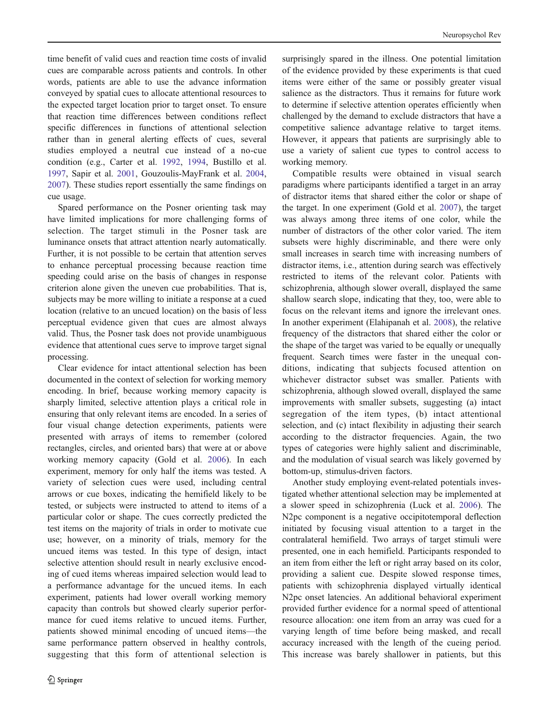time benefit of valid cues and reaction time costs of invalid cues are comparable across patients and controls. In other words, patients are able to use the advance information conveyed by spatial cues to allocate attentional resources to the expected target location prior to target onset. To ensure that reaction time differences between conditions reflect specific differences in functions of attentional selection rather than in general alerting effects of cues, several studies employed a neutral cue instead of a no-cue condition (e.g., Carter et al. [1992](#page-13-0), [1994,](#page-13-0) Bustillo et al. [1997,](#page-13-0) Sapir et al. [2001](#page-16-0), Gouzoulis-MayFrank et al. [2004](#page-14-0), [2007\)](#page-14-0). These studies report essentially the same findings on cue usage.

Spared performance on the Posner orienting task may have limited implications for more challenging forms of selection. The target stimuli in the Posner task are luminance onsets that attract attention nearly automatically. Further, it is not possible to be certain that attention serves to enhance perceptual processing because reaction time speeding could arise on the basis of changes in response criterion alone given the uneven cue probabilities. That is, subjects may be more willing to initiate a response at a cued location (relative to an uncued location) on the basis of less perceptual evidence given that cues are almost always valid. Thus, the Posner task does not provide unambiguous evidence that attentional cues serve to improve target signal processing.

Clear evidence for intact attentional selection has been documented in the context of selection for working memory encoding. In brief, because working memory capacity is sharply limited, selective attention plays a critical role in ensuring that only relevant items are encoded. In a series of four visual change detection experiments, patients were presented with arrays of items to remember (colored rectangles, circles, and oriented bars) that were at or above working memory capacity (Gold et al. [2006\)](#page-14-0). In each experiment, memory for only half the items was tested. A variety of selection cues were used, including central arrows or cue boxes, indicating the hemifield likely to be tested, or subjects were instructed to attend to items of a particular color or shape. The cues correctly predicted the test items on the majority of trials in order to motivate cue use; however, on a minority of trials, memory for the uncued items was tested. In this type of design, intact selective attention should result in nearly exclusive encoding of cued items whereas impaired selection would lead to a performance advantage for the uncued items. In each experiment, patients had lower overall working memory capacity than controls but showed clearly superior performance for cued items relative to uncued items. Further, patients showed minimal encoding of uncued items—the same performance pattern observed in healthy controls, suggesting that this form of attentional selection is surprisingly spared in the illness. One potential limitation of the evidence provided by these experiments is that cued items were either of the same or possibly greater visual salience as the distractors. Thus it remains for future work to determine if selective attention operates efficiently when challenged by the demand to exclude distractors that have a competitive salience advantage relative to target items. However, it appears that patients are surprisingly able to use a variety of salient cue types to control access to working memory.

Compatible results were obtained in visual search paradigms where participants identified a target in an array of distractor items that shared either the color or shape of the target. In one experiment (Gold et al. [2007\)](#page-14-0), the target was always among three items of one color, while the number of distractors of the other color varied. The item subsets were highly discriminable, and there were only small increases in search time with increasing numbers of distractor items, i.e., attention during search was effectively restricted to items of the relevant color. Patients with schizophrenia, although slower overall, displayed the same shallow search slope, indicating that they, too, were able to focus on the relevant items and ignore the irrelevant ones. In another experiment (Elahipanah et al. [2008\)](#page-13-0), the relative frequency of the distractors that shared either the color or the shape of the target was varied to be equally or unequally frequent. Search times were faster in the unequal conditions, indicating that subjects focused attention on whichever distractor subset was smaller. Patients with schizophrenia, although slowed overall, displayed the same improvements with smaller subsets, suggesting (a) intact segregation of the item types, (b) intact attentional selection, and (c) intact flexibility in adjusting their search according to the distractor frequencies. Again, the two types of categories were highly salient and discriminable, and the modulation of visual search was likely governed by bottom-up, stimulus-driven factors.

Another study employing event-related potentials investigated whether attentional selection may be implemented at a slower speed in schizophrenia (Luck et al. [2006](#page-15-0)). The N2pc component is a negative occipitotemporal deflection initiated by focusing visual attention to a target in the contralateral hemifield. Two arrays of target stimuli were presented, one in each hemifield. Participants responded to an item from either the left or right array based on its color, providing a salient cue. Despite slowed response times, patients with schizophrenia displayed virtually identical N2pc onset latencies. An additional behavioral experiment provided further evidence for a normal speed of attentional resource allocation: one item from an array was cued for a varying length of time before being masked, and recall accuracy increased with the length of the cueing period. This increase was barely shallower in patients, but this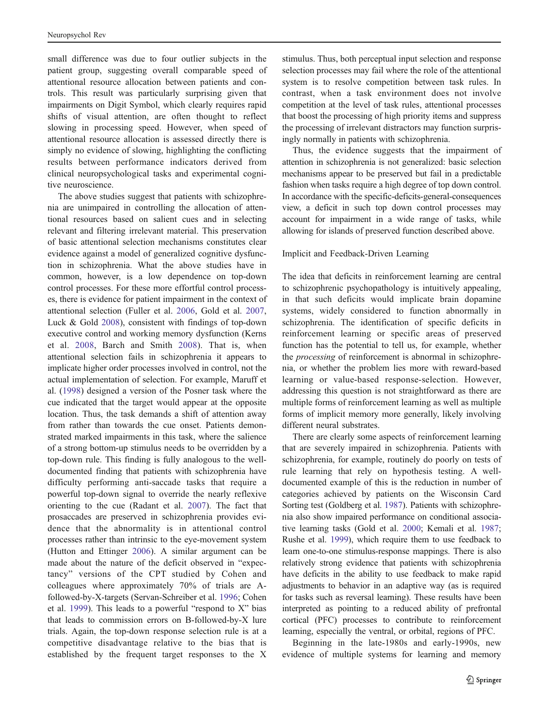small difference was due to four outlier subjects in the patient group, suggesting overall comparable speed of attentional resource allocation between patients and controls. This result was particularly surprising given that impairments on Digit Symbol, which clearly requires rapid shifts of visual attention, are often thought to reflect slowing in processing speed. However, when speed of attentional resource allocation is assessed directly there is simply no evidence of slowing, highlighting the conflicting results between performance indicators derived from clinical neuropsychological tasks and experimental cognitive neuroscience.

The above studies suggest that patients with schizophrenia are unimpaired in controlling the allocation of attentional resources based on salient cues and in selecting relevant and filtering irrelevant material. This preservation of basic attentional selection mechanisms constitutes clear evidence against a model of generalized cognitive dysfunction in schizophrenia. What the above studies have in common, however, is a low dependence on top-down control processes. For these more effortful control processes, there is evidence for patient impairment in the context of attentional selection (Fuller et al. [2006](#page-13-0), Gold et al. [2007](#page-14-0), Luck & Gold [2008](#page-15-0)), consistent with findings of top-down executive control and working memory dysfunction (Kerns et al. [2008](#page-14-0), Barch and Smith [2008](#page-12-0)). That is, when attentional selection fails in schizophrenia it appears to implicate higher order processes involved in control, not the actual implementation of selection. For example, Maruff et al. ([1998\)](#page-15-0) designed a version of the Posner task where the cue indicated that the target would appear at the opposite location. Thus, the task demands a shift of attention away from rather than towards the cue onset. Patients demonstrated marked impairments in this task, where the salience of a strong bottom-up stimulus needs to be overridden by a top-down rule. This finding is fully analogous to the welldocumented finding that patients with schizophrenia have difficulty performing anti-saccade tasks that require a powerful top-down signal to override the nearly reflexive orienting to the cue (Radant et al. [2007](#page-16-0)). The fact that prosaccades are preserved in schizophrenia provides evidence that the abnormality is in attentional control processes rather than intrinsic to the eye-movement system (Hutton and Ettinger [2006\)](#page-14-0). A similar argument can be made about the nature of the deficit observed in "expectancy" versions of the CPT studied by Cohen and colleagues where approximately 70% of trials are Afollowed-by-X-targets (Servan-Schreiber et al. [1996](#page-16-0); Cohen et al. [1999](#page-13-0)). This leads to a powerful "respond to X" bias that leads to commission errors on B-followed-by-X lure trials. Again, the top-down response selection rule is at a competitive disadvantage relative to the bias that is established by the frequent target responses to the X stimulus. Thus, both perceptual input selection and response selection processes may fail where the role of the attentional system is to resolve competition between task rules. In contrast, when a task environment does not involve competition at the level of task rules, attentional processes that boost the processing of high priority items and suppress the processing of irrelevant distractors may function surprisingly normally in patients with schizophrenia.

Thus, the evidence suggests that the impairment of attention in schizophrenia is not generalized: basic selection mechanisms appear to be preserved but fail in a predictable fashion when tasks require a high degree of top down control. In accordance with the specific-deficits-general-consequences view, a deficit in such top down control processes may account for impairment in a wide range of tasks, while allowing for islands of preserved function described above.

#### Implicit and Feedback-Driven Learning

The idea that deficits in reinforcement learning are central to schizophrenic psychopathology is intuitively appealing, in that such deficits would implicate brain dopamine systems, widely considered to function abnormally in schizophrenia. The identification of specific deficits in reinforcement learning or specific areas of preserved function has the potential to tell us, for example, whether the processing of reinforcement is abnormal in schizophrenia, or whether the problem lies more with reward-based learning or value-based response-selection. However, addressing this question is not straightforward as there are multiple forms of reinforcement learning as well as multiple forms of implicit memory more generally, likely involving different neural substrates.

There are clearly some aspects of reinforcement learning that are severely impaired in schizophrenia. Patients with schizophrenia, for example, routinely do poorly on tests of rule learning that rely on hypothesis testing. A welldocumented example of this is the reduction in number of categories achieved by patients on the Wisconsin Card Sorting test (Goldberg et al. [1987\)](#page-14-0). Patients with schizophrenia also show impaired performance on conditional associative learning tasks (Gold et al. [2000](#page-14-0); Kemali et al. [1987](#page-14-0); Rushe et al. [1999\)](#page-16-0), which require them to use feedback to learn one-to-one stimulus-response mappings. There is also relatively strong evidence that patients with schizophrenia have deficits in the ability to use feedback to make rapid adjustments to behavior in an adaptive way (as is required for tasks such as reversal learning). These results have been interpreted as pointing to a reduced ability of prefrontal cortical (PFC) processes to contribute to reinforcement learning, especially the ventral, or orbital, regions of PFC.

Beginning in the late-1980s and early-1990s, new evidence of multiple systems for learning and memory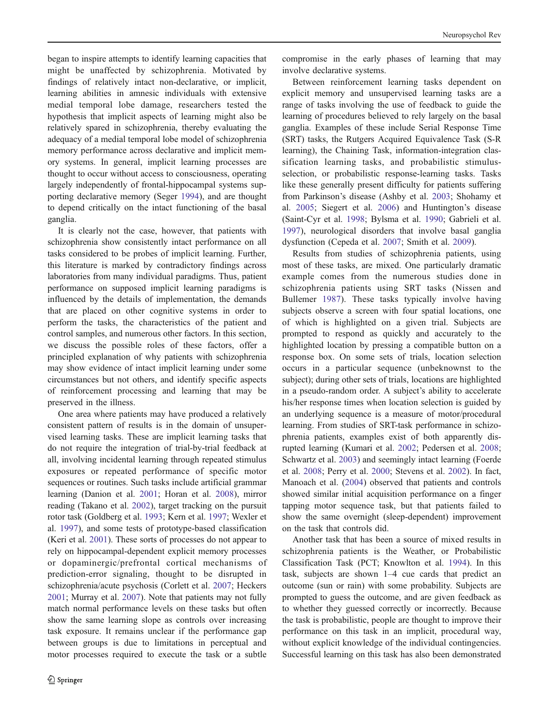began to inspire attempts to identify learning capacities that might be unaffected by schizophrenia. Motivated by findings of relatively intact non-declarative, or implicit, learning abilities in amnesic individuals with extensive medial temporal lobe damage, researchers tested the hypothesis that implicit aspects of learning might also be relatively spared in schizophrenia, thereby evaluating the adequacy of a medial temporal lobe model of schizophrenia memory performance across declarative and implicit memory systems. In general, implicit learning processes are thought to occur without access to consciousness, operating largely independently of frontal-hippocampal systems supporting declarative memory (Seger [1994\)](#page-16-0), and are thought to depend critically on the intact functioning of the basal ganglia.

It is clearly not the case, however, that patients with schizophrenia show consistently intact performance on all tasks considered to be probes of implicit learning. Further, this literature is marked by contradictory findings across laboratories from many individual paradigms. Thus, patient performance on supposed implicit learning paradigms is influenced by the details of implementation, the demands that are placed on other cognitive systems in order to perform the tasks, the characteristics of the patient and control samples, and numerous other factors. In this section, we discuss the possible roles of these factors, offer a principled explanation of why patients with schizophrenia may show evidence of intact implicit learning under some circumstances but not others, and identify specific aspects of reinforcement processing and learning that may be preserved in the illness.

One area where patients may have produced a relatively consistent pattern of results is in the domain of unsupervised learning tasks. These are implicit learning tasks that do not require the integration of trial-by-trial feedback at all, involving incidental learning through repeated stimulus exposures or repeated performance of specific motor sequences or routines. Such tasks include artificial grammar learning (Danion et al. [2001;](#page-13-0) Horan et al. [2008](#page-14-0)), mirror reading (Takano et al. [2002](#page-16-0)), target tracking on the pursuit rotor task (Goldberg et al. [1993;](#page-14-0) Kern et al. [1997](#page-14-0); Wexler et al. [1997\)](#page-17-0), and some tests of prototype-based classification (Keri et al. [2001](#page-14-0)). These sorts of processes do not appear to rely on hippocampal-dependent explicit memory processes or dopaminergic/prefrontal cortical mechanisms of prediction-error signaling, thought to be disrupted in schizophrenia/acute psychosis (Corlett et al. [2007;](#page-13-0) Heckers [2001;](#page-14-0) Murray et al. [2007\)](#page-15-0). Note that patients may not fully match normal performance levels on these tasks but often show the same learning slope as controls over increasing task exposure. It remains unclear if the performance gap between groups is due to limitations in perceptual and motor processes required to execute the task or a subtle

compromise in the early phases of learning that may involve declarative systems.

Between reinforcement learning tasks dependent on explicit memory and unsupervised learning tasks are a range of tasks involving the use of feedback to guide the learning of procedures believed to rely largely on the basal ganglia. Examples of these include Serial Response Time (SRT) tasks, the Rutgers Acquired Equivalence Task (S-R learning), the Chaining Task, information-integration classification learning tasks, and probabilistic stimulusselection, or probabilistic response-learning tasks. Tasks like these generally present difficulty for patients suffering from Parkinson's disease (Ashby et al. [2003;](#page-12-0) Shohamy et al. [2005;](#page-16-0) Siegert et al. [2006\)](#page-16-0) and Huntington's disease (Saint-Cyr et al. [1998;](#page-16-0) Bylsma et al. [1990;](#page-13-0) Gabrieli et al. [1997\)](#page-13-0), neurological disorders that involve basal ganglia dysfunction (Cepeda et al. [2007](#page-13-0); Smith et al. [2009](#page-16-0)).

Results from studies of schizophrenia patients, using most of these tasks, are mixed. One particularly dramatic example comes from the numerous studies done in schizophrenia patients using SRT tasks (Nissen and Bullemer [1987\)](#page-15-0). These tasks typically involve having subjects observe a screen with four spatial locations, one of which is highlighted on a given trial. Subjects are prompted to respond as quickly and accurately to the highlighted location by pressing a compatible button on a response box. On some sets of trials, location selection occurs in a particular sequence (unbeknownst to the subject); during other sets of trials, locations are highlighted in a pseudo-random order. A subject's ability to accelerate his/her response times when location selection is guided by an underlying sequence is a measure of motor/procedural learning. From studies of SRT-task performance in schizophrenia patients, examples exist of both apparently disrupted learning (Kumari et al. [2002;](#page-15-0) Pedersen et al. [2008](#page-15-0); Schwartz et al. [2003](#page-16-0)) and seemingly intact learning (Foerde et al. [2008;](#page-13-0) Perry et al. [2000;](#page-16-0) Stevens et al. [2002](#page-16-0)). In fact, Manoach et al. [\(2004](#page-15-0)) observed that patients and controls showed similar initial acquisition performance on a finger tapping motor sequence task, but that patients failed to show the same overnight (sleep-dependent) improvement on the task that controls did.

Another task that has been a source of mixed results in schizophrenia patients is the Weather, or Probabilistic Classification Task (PCT; Knowlton et al. [1994](#page-15-0)). In this task, subjects are shown 1–4 cue cards that predict an outcome (sun or rain) with some probability. Subjects are prompted to guess the outcome, and are given feedback as to whether they guessed correctly or incorrectly. Because the task is probabilistic, people are thought to improve their performance on this task in an implicit, procedural way, without explicit knowledge of the individual contingencies. Successful learning on this task has also been demonstrated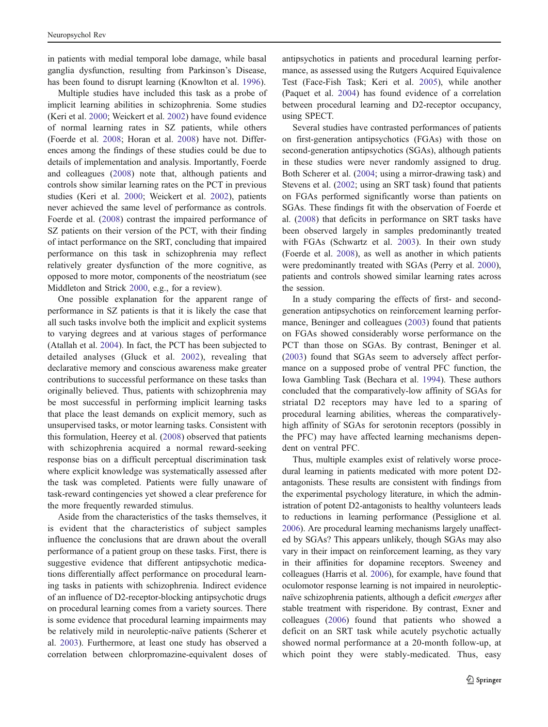in patients with medial temporal lobe damage, while basal ganglia dysfunction, resulting from Parkinson's Disease, has been found to disrupt learning (Knowlton et al. [1996](#page-15-0)).

Multiple studies have included this task as a probe of implicit learning abilities in schizophrenia. Some studies (Keri et al. [2000;](#page-14-0) Weickert et al. [2002\)](#page-17-0) have found evidence of normal learning rates in SZ patients, while others (Foerde et al. [2008;](#page-13-0) Horan et al. [2008\)](#page-14-0) have not. Differences among the findings of these studies could be due to details of implementation and analysis. Importantly, Foerde and colleagues ([2008\)](#page-13-0) note that, although patients and controls show similar learning rates on the PCT in previous studies (Keri et al. [2000](#page-14-0); Weickert et al. [2002\)](#page-17-0), patients never achieved the same level of performance as controls. Foerde et al. ([2008\)](#page-13-0) contrast the impaired performance of SZ patients on their version of the PCT, with their finding of intact performance on the SRT, concluding that impaired performance on this task in schizophrenia may reflect relatively greater dysfunction of the more cognitive, as opposed to more motor, components of the neostriatum (see Middleton and Strick [2000,](#page-15-0) e.g., for a review).

One possible explanation for the apparent range of performance in SZ patients is that it is likely the case that all such tasks involve both the implicit and explicit systems to varying degrees and at various stages of performance (Atallah et al. [2004\)](#page-12-0). In fact, the PCT has been subjected to detailed analyses (Gluck et al. [2002\)](#page-14-0), revealing that declarative memory and conscious awareness make greater contributions to successful performance on these tasks than originally believed. Thus, patients with schizophrenia may be most successful in performing implicit learning tasks that place the least demands on explicit memory, such as unsupervised tasks, or motor learning tasks. Consistent with this formulation, Heerey et al. [\(2008](#page-14-0)) observed that patients with schizophrenia acquired a normal reward-seeking response bias on a difficult perceptual discrimination task where explicit knowledge was systematically assessed after the task was completed. Patients were fully unaware of task-reward contingencies yet showed a clear preference for the more frequently rewarded stimulus.

Aside from the characteristics of the tasks themselves, it is evident that the characteristics of subject samples influence the conclusions that are drawn about the overall performance of a patient group on these tasks. First, there is suggestive evidence that different antipsychotic medications differentially affect performance on procedural learning tasks in patients with schizophrenia. Indirect evidence of an influence of D2-receptor-blocking antipsychotic drugs on procedural learning comes from a variety sources. There is some evidence that procedural learning impairments may be relatively mild in neuroleptic-naïve patients (Scherer et al. [2003](#page-16-0)). Furthermore, at least one study has observed a correlation between chlorpromazine-equivalent doses of antipsychotics in patients and procedural learning performance, as assessed using the Rutgers Acquired Equivalence Test (Face-Fish Task; Keri et al. [2005\)](#page-14-0), while another (Paquet et al. [2004](#page-15-0)) has found evidence of a correlation between procedural learning and D2-receptor occupancy, using SPECT.

Several studies have contrasted performances of patients on first-generation antipsychotics (FGAs) with those on second-generation antipsychotics (SGAs), although patients in these studies were never randomly assigned to drug. Both Scherer et al. ([2004;](#page-16-0) using a mirror-drawing task) and Stevens et al. ([2002;](#page-16-0) using an SRT task) found that patients on FGAs performed significantly worse than patients on SGAs. These findings fit with the observation of Foerde et al. [\(2008](#page-13-0)) that deficits in performance on SRT tasks have been observed largely in samples predominantly treated with FGAs (Schwartz et al. [2003](#page-16-0)). In their own study (Foerde et al. [2008\)](#page-13-0), as well as another in which patients were predominantly treated with SGAs (Perry et al. [2000](#page-16-0)), patients and controls showed similar learning rates across the session.

In a study comparing the effects of first- and secondgeneration antipsychotics on reinforcement learning performance, Beninger and colleagues [\(2003](#page-12-0)) found that patients on FGAs showed considerably worse performance on the PCT than those on SGAs. By contrast, Beninger et al. [\(2003\)](#page-12-0) found that SGAs seem to adversely affect performance on a supposed probe of ventral PFC function, the Iowa Gambling Task (Bechara et al. [1994](#page-12-0)). These authors concluded that the comparatively-low affinity of SGAs for striatal D2 receptors may have led to a sparing of procedural learning abilities, whereas the comparativelyhigh affinity of SGAs for serotonin receptors (possibly in the PFC) may have affected learning mechanisms dependent on ventral PFC.

Thus, multiple examples exist of relatively worse procedural learning in patients medicated with more potent D2 antagonists. These results are consistent with findings from the experimental psychology literature, in which the administration of potent D2-antagonists to healthy volunteers leads to reductions in learning performance (Pessiglione et al. [2006](#page-16-0)). Are procedural learning mechanisms largely unaffected by SGAs? This appears unlikely, though SGAs may also vary in their impact on reinforcement learning, as they vary in their affinities for dopamine receptors. Sweeney and colleagues (Harris et al. [2006](#page-14-0)), for example, have found that oculomotor response learning is not impaired in neurolepticnaïve schizophrenia patients, although a deficit emerges after stable treatment with risperidone. By contrast, Exner and colleagues ([2006](#page-13-0)) found that patients who showed a deficit on an SRT task while acutely psychotic actually showed normal performance at a 20-month follow-up, at which point they were stably-medicated. Thus, easy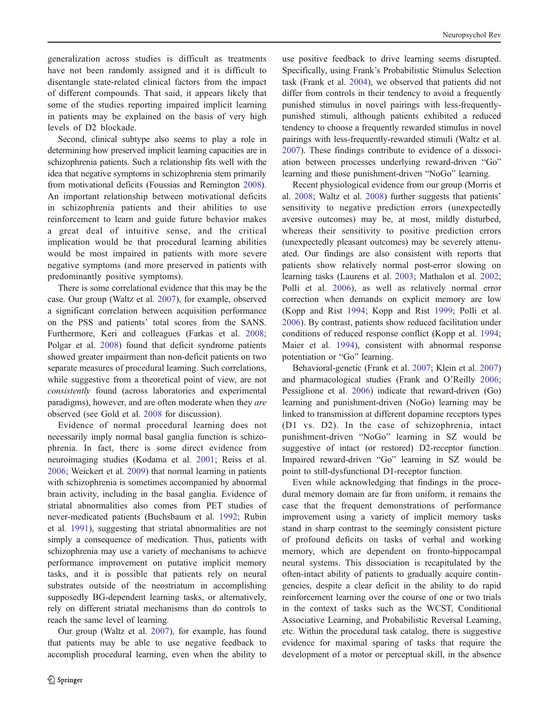generalization across studies is difficult as treatments have not been randomly assigned and it is difficult to disentangle state-related clinical factors from the impact of different compounds. That said, it appears likely that some of the studies reporting impaired implicit learning in patients may be explained on the basis of very high levels of D2 blockade.

Second, clinical subtype also seems to play a role in determining how preserved implicit learning capacities are in schizophrenia patients. Such a relationship fits well with the idea that negative symptoms in schizophrenia stem primarily from motivational deficits (Foussias and Remington [2008](#page-13-0)). An important relationship between motivational deficits in schizophrenia patients and their abilities to use reinforcement to learn and guide future behavior makes a great deal of intuitive sense, and the critical implication would be that procedural learning abilities would be most impaired in patients with more severe negative symptoms (and more preserved in patients with predominantly positive symptoms).

There is some correlational evidence that this may be the case. Our group (Waltz et al. [2007](#page-17-0)), for example, observed a significant correlation between acquisition performance on the PSS and patients' total scores from the SANS. Furthermore, Keri and colleagues (Farkas et al. [2008](#page-13-0); Polgar et al. [2008\)](#page-16-0) found that deficit syndrome patients showed greater impairment than non-deficit patients on two separate measures of procedural learning. Such correlations, while suggestive from a theoretical point of view, are not consistently found (across laboratories and experimental paradigms), however, and are often moderate when they are observed (see Gold et al. [2008](#page-14-0) for discussion).

Evidence of normal procedural learning does not necessarily imply normal basal ganglia function is schizophrenia. In fact, there is some direct evidence from neuroimaging studies (Kodama et al. [2001](#page-15-0); Reiss et al. [2006;](#page-16-0) Weickert et al. [2009](#page-17-0)) that normal learning in patients with schizophrenia is sometimes accompanied by abnormal brain activity, including in the basal ganglia. Evidence of striatal abnormalities also comes from PET studies of never-medicated patients (Buchsbaum et al. [1992](#page-13-0); Rubin et al. [1991\)](#page-16-0), suggesting that striatal abnormalities are not simply a consequence of medication. Thus, patients with schizophrenia may use a variety of mechanisms to achieve performance improvement on putative implicit memory tasks, and it is possible that patients rely on neural substrates outside of the neostriatum in accomplishing supposedly BG-dependent learning tasks, or alternatively, rely on different striatal mechanisms than do controls to reach the same level of learning.

Our group (Waltz et al. [2007](#page-17-0)), for example, has found that patients may be able to use negative feedback to accomplish procedural learning, even when the ability to

use positive feedback to drive learning seems disrupted. Specifically, using Frank's Probabilistic Stimulus Selection task (Frank et al. [2004\)](#page-13-0), we observed that patients did not differ from controls in their tendency to avoid a frequently punished stimulus in novel pairings with less-frequentlypunished stimuli, although patients exhibited a reduced tendency to choose a frequently rewarded stimulus in novel pairings with less-frequently-rewarded stimuli (Waltz et al. [2007\)](#page-17-0). These findings contribute to evidence of a dissociation between processes underlying reward-driven "Go" learning and those punishment-driven "NoGo" learning.

Recent physiological evidence from our group (Morris et al. [2008](#page-15-0); Waltz et al. [2008](#page-17-0)) further suggests that patients' sensitivity to negative prediction errors (unexpectedly aversive outcomes) may be, at most, mildly disturbed, whereas their sensitivity to positive prediction errors (unexpectedly pleasant outcomes) may be severely attenuated. Our findings are also consistent with reports that patients show relatively normal post-error slowing on learning tasks (Laurens et al. [2003;](#page-15-0) Mathalon et al. [2002](#page-15-0); Polli et al. [2006\)](#page-16-0), as well as relatively normal error correction when demands on explicit memory are low (Kopp and Rist [1994](#page-15-0); Kopp and Rist [1999](#page-15-0); Polli et al. [2006\)](#page-16-0). By contrast, patients show reduced facilitation under conditions of reduced response conflict (Kopp et al. [1994](#page-15-0); Maier et al. [1994](#page-15-0)), consistent with abnormal response potentiation or "Go" learning.

Behavioral-genetic (Frank et al. [2007](#page-13-0); Klein et al. [2007\)](#page-15-0) and pharmacological studies (Frank and O'Reilly [2006](#page-13-0); Pessiglione et al. [2006](#page-16-0)) indicate that reward-driven (Go) learning and punishment-driven (NoGo) learning may be linked to transmission at different dopamine receptors types (D1 vs. D2). In the case of schizophrenia, intact punishment-driven "NoGo" learning in SZ would be suggestive of intact (or restored) D2-receptor function. Impaired reward-driven "Go" learning in SZ would be point to still-dysfunctional D1-receptor function.

Even while acknowledging that findings in the procedural memory domain are far from uniform, it remains the case that the frequent demonstrations of performance improvement using a variety of implicit memory tasks stand in sharp contrast to the seemingly consistent picture of profound deficits on tasks of verbal and working memory, which are dependent on fronto-hippocampal neural systems. This dissociation is recapitulated by the often-intact ability of patients to gradually acquire contingencies, despite a clear deficit in the ability to do rapid reinforcement learning over the course of one or two trials in the context of tasks such as the WCST, Conditional Associative Learning, and Probabilistic Reversal Learning, etc. Within the procedural task catalog, there is suggestive evidence for maximal sparing of tasks that require the development of a motor or perceptual skill, in the absence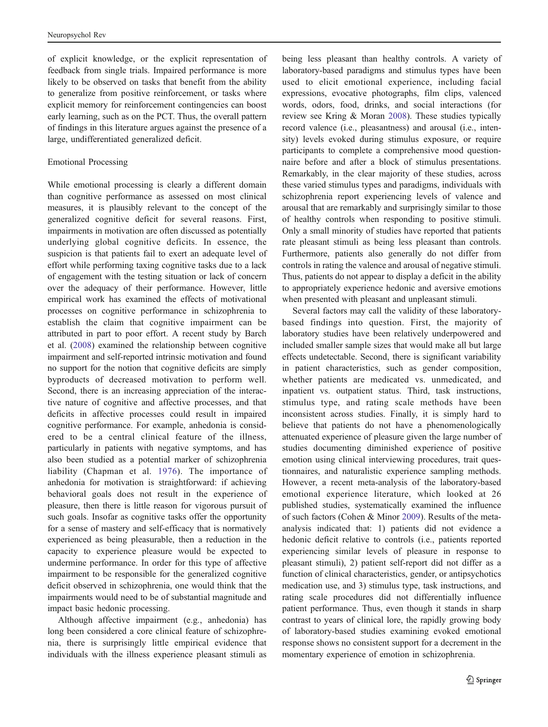of explicit knowledge, or the explicit representation of feedback from single trials. Impaired performance is more likely to be observed on tasks that benefit from the ability to generalize from positive reinforcement, or tasks where explicit memory for reinforcement contingencies can boost early learning, such as on the PCT. Thus, the overall pattern of findings in this literature argues against the presence of a large, undifferentiated generalized deficit.

## Emotional Processing

While emotional processing is clearly a different domain than cognitive performance as assessed on most clinical measures, it is plausibly relevant to the concept of the generalized cognitive deficit for several reasons. First, impairments in motivation are often discussed as potentially underlying global cognitive deficits. In essence, the suspicion is that patients fail to exert an adequate level of effort while performing taxing cognitive tasks due to a lack of engagement with the testing situation or lack of concern over the adequacy of their performance. However, little empirical work has examined the effects of motivational processes on cognitive performance in schizophrenia to establish the claim that cognitive impairment can be attributed in part to poor effort. A recent study by Barch et al. ([2008\)](#page-12-0) examined the relationship between cognitive impairment and self-reported intrinsic motivation and found no support for the notion that cognitive deficits are simply byproducts of decreased motivation to perform well. Second, there is an increasing appreciation of the interactive nature of cognitive and affective processes, and that deficits in affective processes could result in impaired cognitive performance. For example, anhedonia is considered to be a central clinical feature of the illness, particularly in patients with negative symptoms, and has also been studied as a potential marker of schizophrenia liability (Chapman et al. [1976\)](#page-13-0). The importance of anhedonia for motivation is straightforward: if achieving behavioral goals does not result in the experience of pleasure, then there is little reason for vigorous pursuit of such goals. Insofar as cognitive tasks offer the opportunity for a sense of mastery and self-efficacy that is normatively experienced as being pleasurable, then a reduction in the capacity to experience pleasure would be expected to undermine performance. In order for this type of affective impairment to be responsible for the generalized cognitive deficit observed in schizophrenia, one would think that the impairments would need to be of substantial magnitude and impact basic hedonic processing.

Although affective impairment (e.g., anhedonia) has long been considered a core clinical feature of schizophrenia, there is surprisingly little empirical evidence that individuals with the illness experience pleasant stimuli as being less pleasant than healthy controls. A variety of laboratory-based paradigms and stimulus types have been used to elicit emotional experience, including facial expressions, evocative photographs, film clips, valenced words, odors, food, drinks, and social interactions (for review see Kring & Moran [2008](#page-15-0)). These studies typically record valence (i.e., pleasantness) and arousal (i.e., intensity) levels evoked during stimulus exposure, or require participants to complete a comprehensive mood questionnaire before and after a block of stimulus presentations. Remarkably, in the clear majority of these studies, across these varied stimulus types and paradigms, individuals with schizophrenia report experiencing levels of valence and arousal that are remarkably and surprisingly similar to those of healthy controls when responding to positive stimuli. Only a small minority of studies have reported that patients rate pleasant stimuli as being less pleasant than controls. Furthermore, patients also generally do not differ from controls in rating the valence and arousal of negative stimuli. Thus, patients do not appear to display a deficit in the ability to appropriately experience hedonic and aversive emotions when presented with pleasant and unpleasant stimuli.

Several factors may call the validity of these laboratorybased findings into question. First, the majority of laboratory studies have been relatively underpowered and included smaller sample sizes that would make all but large effects undetectable. Second, there is significant variability in patient characteristics, such as gender composition, whether patients are medicated vs. unmedicated, and inpatient vs. outpatient status. Third, task instructions, stimulus type, and rating scale methods have been inconsistent across studies. Finally, it is simply hard to believe that patients do not have a phenomenologically attenuated experience of pleasure given the large number of studies documenting diminished experience of positive emotion using clinical interviewing procedures, trait questionnaires, and naturalistic experience sampling methods. However, a recent meta-analysis of the laboratory-based emotional experience literature, which looked at 26 published studies, systematically examined the influence of such factors (Cohen & Minor [2009](#page-13-0)). Results of the metaanalysis indicated that: 1) patients did not evidence a hedonic deficit relative to controls (i.e., patients reported experiencing similar levels of pleasure in response to pleasant stimuli), 2) patient self-report did not differ as a function of clinical characteristics, gender, or antipsychotics medication use, and 3) stimulus type, task instructions, and rating scale procedures did not differentially influence patient performance. Thus, even though it stands in sharp contrast to years of clinical lore, the rapidly growing body of laboratory-based studies examining evoked emotional response shows no consistent support for a decrement in the momentary experience of emotion in schizophrenia.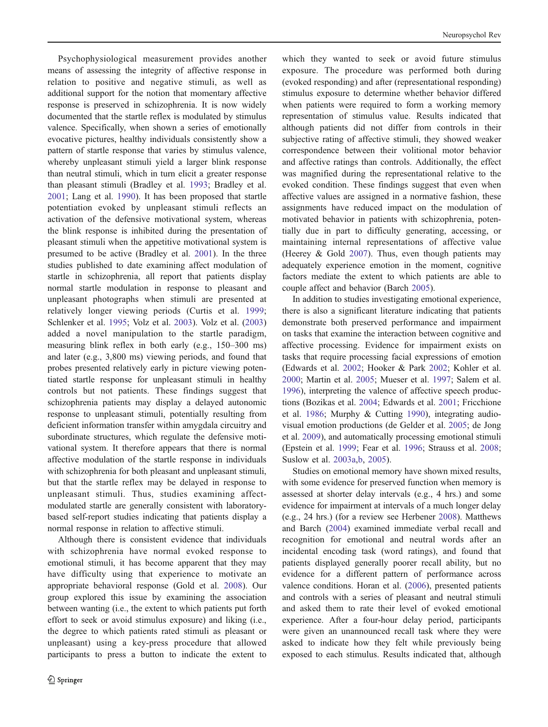Psychophysiological measurement provides another means of assessing the integrity of affective response in relation to positive and negative stimuli, as well as additional support for the notion that momentary affective response is preserved in schizophrenia. It is now widely documented that the startle reflex is modulated by stimulus valence. Specifically, when shown a series of emotionally evocative pictures, healthy individuals consistently show a pattern of startle response that varies by stimulus valence, whereby unpleasant stimuli yield a larger blink response than neutral stimuli, which in turn elicit a greater response than pleasant stimuli (Bradley et al. [1993;](#page-13-0) Bradley et al. [2001;](#page-12-0) Lang et al. [1990](#page-15-0)). It has been proposed that startle potentiation evoked by unpleasant stimuli reflects an activation of the defensive motivational system, whereas the blink response is inhibited during the presentation of pleasant stimuli when the appetitive motivational system is presumed to be active (Bradley et al. [2001](#page-12-0)). In the three studies published to date examining affect modulation of startle in schizophrenia, all report that patients display normal startle modulation in response to pleasant and unpleasant photographs when stimuli are presented at relatively longer viewing periods (Curtis et al. [1999](#page-13-0); Schlenker et al. [1995](#page-16-0); Volz et al. [2003](#page-16-0)). Volz et al. ([2003\)](#page-16-0) added a novel manipulation to the startle paradigm, measuring blink reflex in both early (e.g., 150–300 ms) and later (e.g., 3,800 ms) viewing periods, and found that probes presented relatively early in picture viewing potentiated startle response for unpleasant stimuli in healthy controls but not patients. These findings suggest that schizophrenia patients may display a delayed autonomic response to unpleasant stimuli, potentially resulting from deficient information transfer within amygdala circuitry and subordinate structures, which regulate the defensive motivational system. It therefore appears that there is normal affective modulation of the startle response in individuals with schizophrenia for both pleasant and unpleasant stimuli, but that the startle reflex may be delayed in response to unpleasant stimuli. Thus, studies examining affectmodulated startle are generally consistent with laboratorybased self-report studies indicating that patients display a normal response in relation to affective stimuli.

Although there is consistent evidence that individuals with schizophrenia have normal evoked response to emotional stimuli, it has become apparent that they may have difficulty using that experience to motivate an appropriate behavioral response (Gold et al. [2008\)](#page-14-0). Our group explored this issue by examining the association between wanting (i.e., the extent to which patients put forth effort to seek or avoid stimulus exposure) and liking (i.e., the degree to which patients rated stimuli as pleasant or unpleasant) using a key-press procedure that allowed participants to press a button to indicate the extent to

which they wanted to seek or avoid future stimulus exposure. The procedure was performed both during (evoked responding) and after (representational responding) stimulus exposure to determine whether behavior differed when patients were required to form a working memory representation of stimulus value. Results indicated that although patients did not differ from controls in their subjective rating of affective stimuli, they showed weaker correspondence between their volitional motor behavior and affective ratings than controls. Additionally, the effect was magnified during the representational relative to the evoked condition. These findings suggest that even when affective values are assigned in a normative fashion, these assignments have reduced impact on the modulation of motivated behavior in patients with schizophrenia, potentially due in part to difficulty generating, accessing, or maintaining internal representations of affective value (Heerey & Gold [2007\)](#page-14-0). Thus, even though patients may adequately experience emotion in the moment, cognitive factors mediate the extent to which patients are able to couple affect and behavior (Barch [2005\)](#page-12-0).

In addition to studies investigating emotional experience, there is also a significant literature indicating that patients demonstrate both preserved performance and impairment on tasks that examine the interaction between cognitive and affective processing. Evidence for impairment exists on tasks that require processing facial expressions of emotion (Edwards et al. [2002;](#page-13-0) Hooker & Park [2002;](#page-14-0) Kohler et al. [2000;](#page-15-0) Martin et al. [2005](#page-15-0); Mueser et al. [1997](#page-15-0); Salem et al. [1996\)](#page-16-0), interpreting the valence of affective speech productions (Bozikas et al. [2004](#page-12-0); Edwards et al. [2001;](#page-13-0) Fricchione et al. [1986](#page-13-0); Murphy & Cutting [1990](#page-15-0)), integrating audiovisual emotion productions (de Gelder et al. [2005;](#page-13-0) de Jong et al. [2009\)](#page-13-0), and automatically processing emotional stimuli (Epstein et al. [1999;](#page-13-0) Fear et al. [1996](#page-13-0); Strauss et al. [2008](#page-16-0); Suslow et al. [2003a,b](#page-16-0), [2005](#page-16-0)).

Studies on emotional memory have shown mixed results, with some evidence for preserved function when memory is assessed at shorter delay intervals (e.g., 4 hrs.) and some evidence for impairment at intervals of a much longer delay (e.g., 24 hrs.) (for a review see Herbener [2008\)](#page-14-0). Matthews and Barch [\(2004](#page-15-0)) examined immediate verbal recall and recognition for emotional and neutral words after an incidental encoding task (word ratings), and found that patients displayed generally poorer recall ability, but no evidence for a different pattern of performance across valence conditions. Horan et al. [\(2006](#page-14-0)), presented patients and controls with a series of pleasant and neutral stimuli and asked them to rate their level of evoked emotional experience. After a four-hour delay period, participants were given an unannounced recall task where they were asked to indicate how they felt while previously being exposed to each stimulus. Results indicated that, although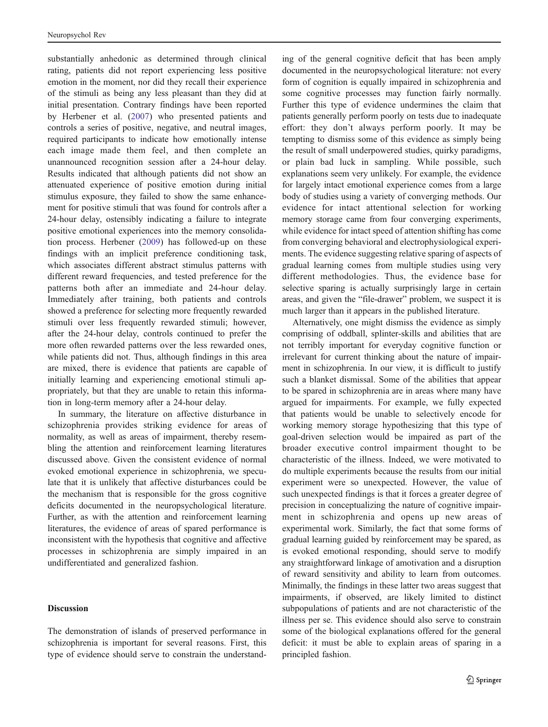substantially anhedonic as determined through clinical rating, patients did not report experiencing less positive emotion in the moment, nor did they recall their experience of the stimuli as being any less pleasant than they did at initial presentation. Contrary findings have been reported by Herbener et al. [\(2007](#page-14-0)) who presented patients and controls a series of positive, negative, and neutral images, required participants to indicate how emotionally intense each image made them feel, and then complete an unannounced recognition session after a 24-hour delay. Results indicated that although patients did not show an attenuated experience of positive emotion during initial stimulus exposure, they failed to show the same enhancement for positive stimuli that was found for controls after a 24-hour delay, ostensibly indicating a failure to integrate positive emotional experiences into the memory consolidation process. Herbener [\(2009](#page-14-0)) has followed-up on these findings with an implicit preference conditioning task, which associates different abstract stimulus patterns with different reward frequencies, and tested preference for the patterns both after an immediate and 24-hour delay. Immediately after training, both patients and controls showed a preference for selecting more frequently rewarded stimuli over less frequently rewarded stimuli; however, after the 24-hour delay, controls continued to prefer the more often rewarded patterns over the less rewarded ones, while patients did not. Thus, although findings in this area are mixed, there is evidence that patients are capable of initially learning and experiencing emotional stimuli appropriately, but that they are unable to retain this information in long-term memory after a 24-hour delay.

In summary, the literature on affective disturbance in schizophrenia provides striking evidence for areas of normality, as well as areas of impairment, thereby resembling the attention and reinforcement learning literatures discussed above. Given the consistent evidence of normal evoked emotional experience in schizophrenia, we speculate that it is unlikely that affective disturbances could be the mechanism that is responsible for the gross cognitive deficits documented in the neuropsychological literature. Further, as with the attention and reinforcement learning literatures, the evidence of areas of spared performance is inconsistent with the hypothesis that cognitive and affective processes in schizophrenia are simply impaired in an undifferentiated and generalized fashion.

# Discussion

The demonstration of islands of preserved performance in schizophrenia is important for several reasons. First, this type of evidence should serve to constrain the understand-

ing of the general cognitive deficit that has been amply documented in the neuropsychological literature: not every form of cognition is equally impaired in schizophrenia and some cognitive processes may function fairly normally. Further this type of evidence undermines the claim that patients generally perform poorly on tests due to inadequate effort: they don't always perform poorly. It may be tempting to dismiss some of this evidence as simply being the result of small underpowered studies, quirky paradigms, or plain bad luck in sampling. While possible, such explanations seem very unlikely. For example, the evidence for largely intact emotional experience comes from a large body of studies using a variety of converging methods. Our evidence for intact attentional selection for working memory storage came from four converging experiments, while evidence for intact speed of attention shifting has come from converging behavioral and electrophysiological experiments. The evidence suggesting relative sparing of aspects of gradual learning comes from multiple studies using very different methodologies. Thus, the evidence base for selective sparing is actually surprisingly large in certain areas, and given the "file-drawer" problem, we suspect it is much larger than it appears in the published literature.

Alternatively, one might dismiss the evidence as simply comprising of oddball, splinter-skills and abilities that are not terribly important for everyday cognitive function or irrelevant for current thinking about the nature of impairment in schizophrenia. In our view, it is difficult to justify such a blanket dismissal. Some of the abilities that appear to be spared in schizophrenia are in areas where many have argued for impairments. For example, we fully expected that patients would be unable to selectively encode for working memory storage hypothesizing that this type of goal-driven selection would be impaired as part of the broader executive control impairment thought to be characteristic of the illness. Indeed, we were motivated to do multiple experiments because the results from our initial experiment were so unexpected. However, the value of such unexpected findings is that it forces a greater degree of precision in conceptualizing the nature of cognitive impairment in schizophrenia and opens up new areas of experimental work. Similarly, the fact that some forms of gradual learning guided by reinforcement may be spared, as is evoked emotional responding, should serve to modify any straightforward linkage of amotivation and a disruption of reward sensitivity and ability to learn from outcomes. Minimally, the findings in these latter two areas suggest that impairments, if observed, are likely limited to distinct subpopulations of patients and are not characteristic of the illness per se. This evidence should also serve to constrain some of the biological explanations offered for the general deficit: it must be able to explain areas of sparing in a principled fashion.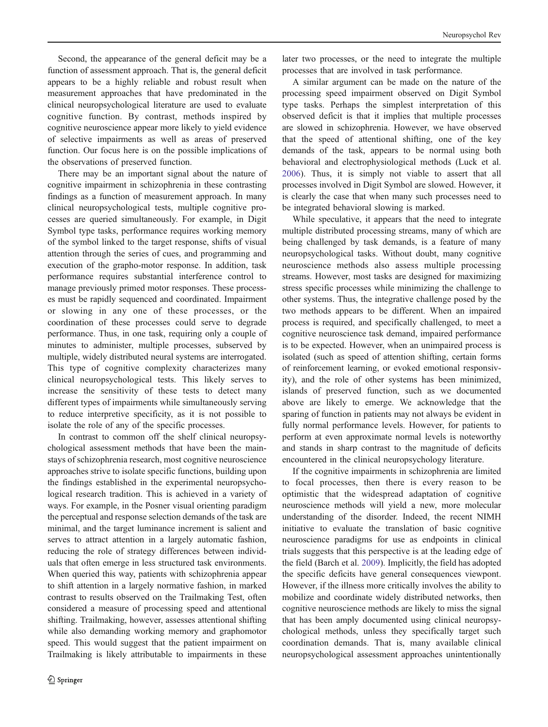Second, the appearance of the general deficit may be a function of assessment approach. That is, the general deficit appears to be a highly reliable and robust result when measurement approaches that have predominated in the clinical neuropsychological literature are used to evaluate cognitive function. By contrast, methods inspired by cognitive neuroscience appear more likely to yield evidence of selective impairments as well as areas of preserved function. Our focus here is on the possible implications of the observations of preserved function.

There may be an important signal about the nature of cognitive impairment in schizophrenia in these contrasting findings as a function of measurement approach. In many clinical neuropsychological tests, multiple cognitive processes are queried simultaneously. For example, in Digit Symbol type tasks, performance requires working memory of the symbol linked to the target response, shifts of visual attention through the series of cues, and programming and execution of the grapho-motor response. In addition, task performance requires substantial interference control to manage previously primed motor responses. These processes must be rapidly sequenced and coordinated. Impairment or slowing in any one of these processes, or the coordination of these processes could serve to degrade performance. Thus, in one task, requiring only a couple of minutes to administer, multiple processes, subserved by multiple, widely distributed neural systems are interrogated. This type of cognitive complexity characterizes many clinical neuropsychological tests. This likely serves to increase the sensitivity of these tests to detect many different types of impairments while simultaneously serving to reduce interpretive specificity, as it is not possible to isolate the role of any of the specific processes.

In contrast to common off the shelf clinical neuropsychological assessment methods that have been the mainstays of schizophrenia research, most cognitive neuroscience approaches strive to isolate specific functions, building upon the findings established in the experimental neuropsychological research tradition. This is achieved in a variety of ways. For example, in the Posner visual orienting paradigm the perceptual and response selection demands of the task are minimal, and the target luminance increment is salient and serves to attract attention in a largely automatic fashion, reducing the role of strategy differences between individuals that often emerge in less structured task environments. When queried this way, patients with schizophrenia appear to shift attention in a largely normative fashion, in marked contrast to results observed on the Trailmaking Test, often considered a measure of processing speed and attentional shifting. Trailmaking, however, assesses attentional shifting while also demanding working memory and graphomotor speed. This would suggest that the patient impairment on Trailmaking is likely attributable to impairments in these

later two processes, or the need to integrate the multiple processes that are involved in task performance.

A similar argument can be made on the nature of the processing speed impairment observed on Digit Symbol type tasks. Perhaps the simplest interpretation of this observed deficit is that it implies that multiple processes are slowed in schizophrenia. However, we have observed that the speed of attentional shifting, one of the key demands of the task, appears to be normal using both behavioral and electrophysiological methods (Luck et al. [2006\)](#page-15-0). Thus, it is simply not viable to assert that all processes involved in Digit Symbol are slowed. However, it is clearly the case that when many such processes need to be integrated behavioral slowing is marked.

While speculative, it appears that the need to integrate multiple distributed processing streams, many of which are being challenged by task demands, is a feature of many neuropsychological tasks. Without doubt, many cognitive neuroscience methods also assess multiple processing streams. However, most tasks are designed for maximizing stress specific processes while minimizing the challenge to other systems. Thus, the integrative challenge posed by the two methods appears to be different. When an impaired process is required, and specifically challenged, to meet a cognitive neuroscience task demand, impaired performance is to be expected. However, when an unimpaired process is isolated (such as speed of attention shifting, certain forms of reinforcement learning, or evoked emotional responsivity), and the role of other systems has been minimized, islands of preserved function, such as we documented above are likely to emerge. We acknowledge that the sparing of function in patients may not always be evident in fully normal performance levels. However, for patients to perform at even approximate normal levels is noteworthy and stands in sharp contrast to the magnitude of deficits encountered in the clinical neuropsychology literature.

If the cognitive impairments in schizophrenia are limited to focal processes, then there is every reason to be optimistic that the widespread adaptation of cognitive neuroscience methods will yield a new, more molecular understanding of the disorder. Indeed, the recent NIMH initiative to evaluate the translation of basic cognitive neuroscience paradigms for use as endpoints in clinical trials suggests that this perspective is at the leading edge of the field (Barch et al. [2009](#page-12-0)). Implicitly, the field has adopted the specific deficits have general consequences viewpont. However, if the illness more critically involves the ability to mobilize and coordinate widely distributed networks, then cognitive neuroscience methods are likely to miss the signal that has been amply documented using clinical neuropsychological methods, unless they specifically target such coordination demands. That is, many available clinical neuropsychological assessment approaches unintentionally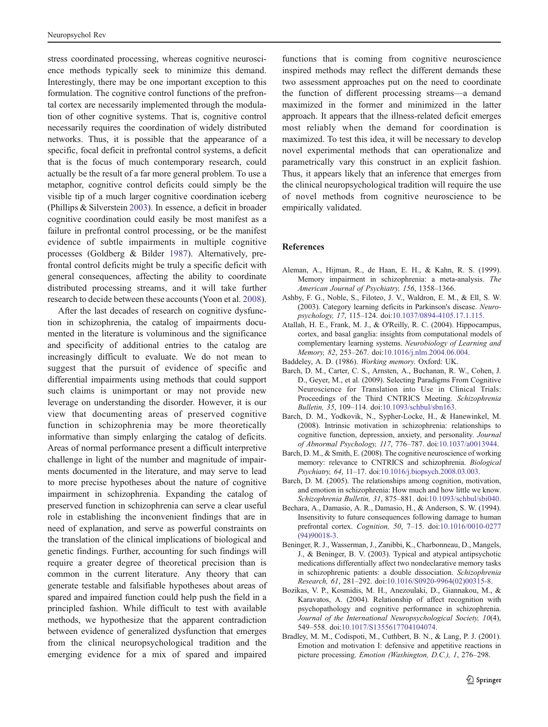<span id="page-12-0"></span>stress coordinated processing, whereas cognitive neuroscience methods typically seek to minimize this demand. Interestingly, there may be one important exception to this formulation. The cognitive control functions of the prefrontal cortex are necessarily implemented through the modulation of other cognitive systems. That is, cognitive control necessarily requires the coordination of widely distributed networks. Thus, it is possible that the appearance of a specific, focal deficit in prefrontal control systems, a deficit that is the focus of much contemporary research, could actually be the result of a far more general problem. To use a metaphor, cognitive control deficits could simply be the visible tip of a much larger cognitive coordination iceberg (Phillips & Silverstein [2003\)](#page-16-0). In essence, a deficit in broader cognitive coordination could easily be most manifest as a failure in prefrontal control processing, or be the manifest evidence of subtle impairments in multiple cognitive processes (Goldberg & Bilder [1987](#page-14-0)). Alternatively, prefrontal control deficits might be truly a specific deficit with general consequences, affecting the ability to coordinate distributed processing streams, and it will take further research to decide between these accounts (Yoon et al. [2008](#page-17-0)).

After the last decades of research on cognitive dysfunction in schizophrenia, the catalog of impairments documented in the literature is voluminous and the significance and specificity of additional entries to the catalog are increasingly difficult to evaluate. We do not mean to suggest that the pursuit of evidence of specific and differential impairments using methods that could support such claims is unimportant or may not provide new leverage on understanding the disorder. However, it is our view that documenting areas of preserved cognitive function in schizophrenia may be more theoretically informative than simply enlarging the catalog of deficits. Areas of normal performance present a difficult interpretive challenge in light of the number and magnitude of impairments documented in the literature, and may serve to lead to more precise hypotheses about the nature of cognitive impairment in schizophrenia. Expanding the catalog of preserved function in schizophrenia can serve a clear useful role in establishing the inconvenient findings that are in need of explanation, and serve as powerful constraints on the translation of the clinical implications of biological and genetic findings. Further, accounting for such findings will require a greater degree of theoretical precision than is common in the current literature. Any theory that can generate testable and falsifiable hypotheses about areas of spared and impaired function could help push the field in a principled fashion. While difficult to test with available methods, we hypothesize that the apparent contradiction between evidence of generalized dysfunction that emerges from the clinical neuropsychological tradition and the emerging evidence for a mix of spared and impaired

functions that is coming from cognitive neuroscience inspired methods may reflect the different demands these two assessment approaches put on the need to coordinate the function of different processing streams—a demand maximized in the former and minimized in the latter approach. It appears that the illness-related deficit emerges most reliably when the demand for coordination is maximized. To test this idea, it will be necessary to develop novel experimental methods that can operationalize and parametrically vary this construct in an explicit fashion. Thus, it appears likely that an inference that emerges from the clinical neuropsychological tradition will require the use of novel methods from cognitive neuroscience to be empirically validated.

#### References

- Aleman, A., Hijman, R., de Haan, E. H., & Kahn, R. S. (1999). Memory impairment in schizophrenia: a meta-analysis. The American Journal of Psychiatry, 156, 1358–1366.
- Ashby, F. G., Noble, S., Filoteo, J. V., Waldron, E. M., & Ell, S. W. (2003). Category learning deficits in Parkinson's disease. Neuropsychology, 17, 115–124. doi:[10.1037/0894-4105.17.1.115.](http://dx.doi.org/10.1037/0894-4105.17.1.115)
- Atallah, H. E., Frank, M. J., & O'Reilly, R. C. (2004). Hippocampus, cortex, and basal ganglia: insights from computational models of complementary learning systems. Neurobiology of Learning and Memory, 82, 253–267. doi[:10.1016/j.nlm.2004.06.004.](http://dx.doi.org/10.1016/j.nlm.2004.06.004)
- Baddeley, A. D. (1986). Working memory. Oxford: UK.
- Barch, D. M., Carter, C. S., Arnsten, A., Buchanan, R. W., Cohen, J. D., Geyer, M., et al. (2009). Selecting Paradigms From Cognitive Neuroscience for Translation into Use in Clinical Trials: Proceedings of the Third CNTRICS Meeting. Schizophrenia Bulletin, 35, 109–114. doi:[10.1093/schbul/sbn163](http://dx.doi.org/10.1093/schbul/sbn163).
- Barch, D. M., Yodkovik, N., Sypher-Locke, H., & Hanewinkel, M. (2008). Intrinsic motivation in schizophrenia: relationships to cognitive function, depression, anxiety, and personality. Journal of Abnormal Psychology, 117, 776–787. doi[:10.1037/a0013944.](http://dx.doi.org/10.1037/a0013944)
- Barch, D. M., & Smith, E. (2008). The cognitive neuroscience of working memory: relevance to CNTRICS and schizophrenia. Biological Psychiatry, 64, 11–17. doi:[10.1016/j.biopsych.2008.03.003](http://dx.doi.org/10.1016/j.biopsych.2008.03.003).
- Barch, D. M. (2005). The relationships among cognition, motivation, and emotion in schizophrenia: How much and how little we know. Schizophrenia Bulletin, 31, 875–881. doi[:10.1093/schbul/sbi040.](http://dx.doi.org/10.1093/schbul/sbi040)
- Bechara, A., Damasio, A. R., Damasio, H., & Anderson, S. W. (1994). Insensitivity to future consequences following damage to human prefrontal cortex. Cognition, 50, 7–15. doi[:10.1016/0010-0277](http://dx.doi.org/10.1016/0010-0277(94)90018-3) [\(94\)90018-3.](http://dx.doi.org/10.1016/0010-0277(94)90018-3)
- Beninger, R. J., Wasserman, J., Zanibbi, K., Charbonneau, D., Mangels, J., & Beninger, B. V. (2003). Typical and atypical antipsychotic medications differentially affect two nondeclarative memory tasks in schizophrenic patients: a double dissociation. Schizophrenia Research, 61, 281–292. doi:[10.1016/S0920-9964\(02\)00315-8.](http://dx.doi.org/10.1016/S0920-9964(02)00315-8)
- Bozikas, V. P., Kosmidis, M. H., Anezoulaki, D., Giannakou, M., & Karavatos, A. (2004). Relationship of affect recognition with psychopathology and cognitive performance in schizophrenia. Journal of the International Neuropsychological Society, 10(4), 549–558. doi[:10.1017/S1355617704104074.](http://dx.doi.org/10.1017/S1355617704104074)
- Bradley, M. M., Codispoti, M., Cuthbert, B. N., & Lang, P. J. (2001). Emotion and motivation I: defensive and appetitive reactions in picture processing. Emotion (Washington, D.C.), 1, 276–298.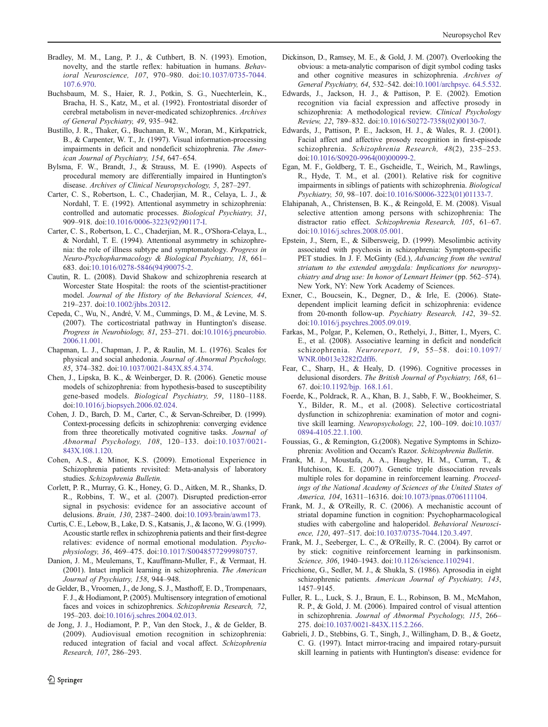- <span id="page-13-0"></span>Bradley, M. M., Lang, P. J., & Cuthbert, B. N. (1993). Emotion, novelty, and the startle reflex: habituation in humans. Behavioral Neuroscience, 107, 970–980. doi:[10.1037/0735-7044.](http://dx.doi.org/10.1037/0735-7044.107.6.970) [107.6.970](http://dx.doi.org/10.1037/0735-7044.107.6.970).
- Buchsbaum, M. S., Haier, R. J., Potkin, S. G., Nuechterlein, K., Bracha, H. S., Katz, M., et al. (1992). Frontostriatal disorder of cerebral metabolism in never-medicated schizophrenics. Archives of General Psychiatry, 49, 935–942.
- Bustillo, J. R., Thaker, G., Buchanan, R. W., Moran, M., Kirkpatrick, B., & Carpenter, W. T., Jr. (1997). Visual information-processing impairments in deficit and nondeficit schizophrenia. The American Journal of Psychiatry, 154, 647–654.
- Bylsma, F. W., Brandt, J., & Strauss, M. E. (1990). Aspects of procedural memory are differentially impaired in Huntington's disease. Archives of Clinical Neuropsychology, 5, 287–297.
- Carter, C. S., Robertson, L. C., Chaderjian, M. R., Celaya, L. J., & Nordahl, T. E. (1992). Attentional asymmetry in schizophrenia: controlled and automatic processes. Biological Psychiatry, 31, 909–918. doi[:10.1016/0006-3223\(92\)90117-I](http://dx.doi.org/10.1016/0006-3223(92)90117-I).
- Carter, C. S., Robertson, L. C., Chaderjian, M. R., O'Shora-Celaya, L., & Nordahl, T. E. (1994). Attentional asymmetry in schizophrenia: the role of illness subtype and symptomatology. Progress in Neuro-Psychopharmacology & Biological Psychiatry, 18, 661– 683. doi[:10.1016/0278-5846\(94\)90075-2.](http://dx.doi.org/10.1016/0278-5846(94)90075-2)
- Cautin, R. L. (2008). David Shakow and schizophrenia research at Worcester State Hospital: the roots of the scientist-practitioner model. Journal of the History of the Behavioral Sciences, 44, 219–237. doi[:10.1002/jhbs.20312](http://dx.doi.org/10.1002/jhbs.20312).
- Cepeda, C., Wu, N., André, V. M., Cummings, D. M., & Levine, M. S. (2007). The corticostriatal pathway in Huntington's disease. Progress in Neurobiology, 81, 253–271. doi[:10.1016/j.pneurobio.](http://dx.doi.org/10.1016/j.pneurobio.2006.11.001) [2006.11.001.](http://dx.doi.org/10.1016/j.pneurobio.2006.11.001)
- Chapman, L. J., Chapman, J. P., & Raulin, M. L. (1976). Scales for physical and social anhedonia. Journal of Abnormal Psychology, 85, 374–382. doi:[10.1037/0021-843X.85.4.374.](http://dx.doi.org/10.1037/0021-843X.85.4.374)
- Chen, J., Lipska, B. K., & Weinberger, D. R. (2006). Genetic mouse models of schizophrenia: from hypothesis-based to susceptibility gene-based models. Biological Psychiatry, 59, 1180–1188. doi:[10.1016/j.biopsych.2006.02.024.](http://dx.doi.org/10.1016/j.biopsych.2006.02.024)
- Cohen, J. D., Barch, D. M., Carter, C., & Servan-Schreiber, D. (1999). Context-processing deficits in schizophrenia: converging evidence from three theoretically motivated cognitive tasks. Journal of Abnormal Psychology, 108, 120–133. doi:[10.1037/0021-](http://dx.doi.org/10.1037/0021-843X.108.1.120) [843X.108.1.120.](http://dx.doi.org/10.1037/0021-843X.108.1.120)
- Cohen, A.S., & Minor, K.S. (2009). Emotional Experience in Schizophrenia patients revisited: Meta-analysis of laboratory studies. Schizophrenia Bulletin.
- Corlett, P. R., Murray, G. K., Honey, G. D., Aitken, M. R., Shanks, D. R., Robbins, T. W., et al. (2007). Disrupted prediction-error signal in psychosis: evidence for an associative account of delusions. Brain, 130, 2387–2400. doi[:10.1093/brain/awm173](http://dx.doi.org/10.1093/brain/awm173).
- Curtis, C. E., Lebow, B., Lake, D. S., Katsanis, J., & Iacono, W. G. (1999). Acoustic startle reflex in schizophrenia patients and their first-degree relatives: evidence of normal emotional modulation. Psychophysiology, 36, 469–475. doi[:10.1017/S0048577299980757.](http://dx.doi.org/10.1017/S0048577299980757)
- Danion, J. M., Meulemans, T., Kauffmann-Muller, F., & Vermaat, H. (2001). Intact implicit learning in schizophrenia. The American Journal of Psychiatry, 158, 944–948.
- de Gelder, B., Vroomen, J., de Jong, S. J., Masthoff, E. D., Trompenaars, F. J., & Hodiamont, P. (2005). Multisensory integration of emotional faces and voices in schizophrenics. Schizophrenia Research, 72, 195–203. doi[:10.1016/j.schres.2004.02.013.](http://dx.doi.org/10.1016/j.schres.2004.02.013)
- de Jong, J. J., Hodiamont, P. P., Van den Stock, J., & de Gelder, B. (2009). Audiovisual emotion recognition in schizophrenia: reduced integration of facial and vocal affect. Schizophrenia Research, 107, 286–293.
- Dickinson, D., Ramsey, M. E., & Gold, J. M. (2007). Overlooking the obvious: a meta-analytic comparison of digit symbol coding tasks and other cognitive measures in schizophrenia. Archives of General Psychiatry, 64, 532–542. doi[:10.1001/archpsyc. 64.5.532.](http://dx.doi.org/10.1001/archpsyc.64.5.532)
- Edwards, J., Jackson, H. J., & Pattison, P. E. (2002). Emotion recognition via facial expression and affective prosody in schizophrenia: A methodological review. Clinical Psychology Review, 22, 789–832. doi[:10.1016/S0272-7358\(02\)00130-7](http://dx.doi.org/10.1016/S0272-7358(02)00130-7).
- Edwards, J., Pattison, P. E., Jackson, H. J., & Wales, R. J. (2001). Facial affect and affective prosody recognition in first-episode schizophrenia. Schizophrenia Research, 48(2), 235–253. doi:[10.1016/S0920-9964\(00\)00099-2.](http://dx.doi.org/10.1016/S0920-9964(00)00099-2)
- Egan, M. F., Goldberg, T. E., Gscheidle, T., Weirich, M., Rawlings, R., Hyde, T. M., et al. (2001). Relative risk for cognitive impairments in siblings of patients with schizophrenia. Biological Psychiatry, 50, 98–107. doi:[10.1016/S0006-3223\(01\)01133-7.](http://dx.doi.org/10.1016/S0006-3223(01)01133-7)
- Elahipanah, A., Christensen, B. K., & Reingold, E. M. (2008). Visual selective attention among persons with schizophrenia: The distractor ratio effect. Schizophrenia Research, 105, 61–67. doi:[10.1016/j.schres.2008.05.001](http://dx.doi.org/10.1016/j.schres.2008.05.001).
- Epstein, J., Stern, E., & Silbersweig, D. (1999). Mesolimbic activity associated with psychosis in schizophrenia: Symptom-specific PET studies. In J. F. McGinty (Ed.), Advancing from the ventral striatum to the extended amygdala: Implications for neuropsychiatry and drug use: In honor of Lennart Heimer (pp. 562–574). New York, NY: New York Academy of Sciences.
- Exner, C., Boucsein, K., Degner, D., & Irle, E. (2006). Statedependent implicit learning deficit in schizophrenia: evidence from 20-month follow-up. Psychiatry Research, 142, 39–52. doi:[10.1016/j.psychres.2005.09.019.](http://dx.doi.org/10.1016/j.psychres.2005.09.019)
- Farkas, M., Polgar, P., Kelemen, O., Rethelyi, J., Bitter, I., Myers, C. E., et al. (2008). Associative learning in deficit and nondeficit schizophrenia. Neuroreport, 19, 55–58. doi:[10.1097/](http://dx.doi.org/10.1097/WNR.0b013e3282f2dff6) [WNR.0b013e3282f2dff6](http://dx.doi.org/10.1097/WNR.0b013e3282f2dff6).
- Fear, C., Sharp, H., & Healy, D. (1996). Cognitive processes in delusional disorders. The British Journal of Psychiatry, 168, 61– 67. doi[:10.1192/bjp. 168.1.61](http://dx.doi.org/10.1192/bjp. 168.1.61).
- Foerde, K., Poldrack, R. A., Khan, B. J., Sabb, F. W., Bookheimer, S. Y., Bilder, R. M., et al. (2008). Selective corticostriatal dysfunction in schizophrenia: examination of motor and cognitive skill learning. Neuropsychology, 22, 100–109. doi[:10.1037/](http://dx.doi.org/10.1037/0894-4105.22.1.100) [0894-4105.22.1.100](http://dx.doi.org/10.1037/0894-4105.22.1.100).
- Foussias, G., & Remington, G.(2008). Negative Symptoms in Schizophrenia: Avolition and Occam's Razor. Schizophrenia Bulletin.
- Frank, M. J., Moustafa, A. A., Haughey, H. M., Curran, T., & Hutchison, K. E. (2007). Genetic triple dissociation reveals multiple roles for dopamine in reinforcement learning. *Proceed*ings of the National Academy of Sciences of the United States of America, 104, 16311–16316. doi:[10.1073/pnas.0706111104.](http://dx.doi.org/10.1073/pnas.0706111104)
- Frank, M. J., & O'Reilly, R. C. (2006). A mechanistic account of striatal dopamine function in cognition: Psychopharmacological studies with cabergoline and haloperidol. Behavioral Neuroscience, 120, 497–517. doi[:10.1037/0735-7044.120.3.497.](http://dx.doi.org/10.1037/0735-7044.120.3.497)
- Frank, M. J., Seeberger, L. C., & O'Reilly, R. C. (2004). By carrot or by stick: cognitive reinforcement learning in parkinsonism. Science, 306, 1940–1943. doi:[10.1126/science.1102941.](http://dx.doi.org/10.1126/science.1102941)
- Fricchione, G., Sedler, M. J., & Shukla, S. (1986). Aprosodia in eight schizophrenic patients. American Journal of Psychiatry, 143, 1457–9145.
- Fuller, R. L., Luck, S. J., Braun, E. L., Robinson, B. M., McMahon, R. P., & Gold, J. M. (2006). Impaired control of visual attention in schizophrenia. Journal of Abnormal Psychology, 115, 266– 275. doi[:10.1037/0021-843X.115.2.266](http://dx.doi.org/10.1037/0021-843X.115.2.266).
- Gabrieli, J. D., Stebbins, G. T., Singh, J., Willingham, D. B., & Goetz, C. G. (1997). Intact mirror-tracing and impaired rotary-pursuit skill learning in patients with Huntington's disease: evidence for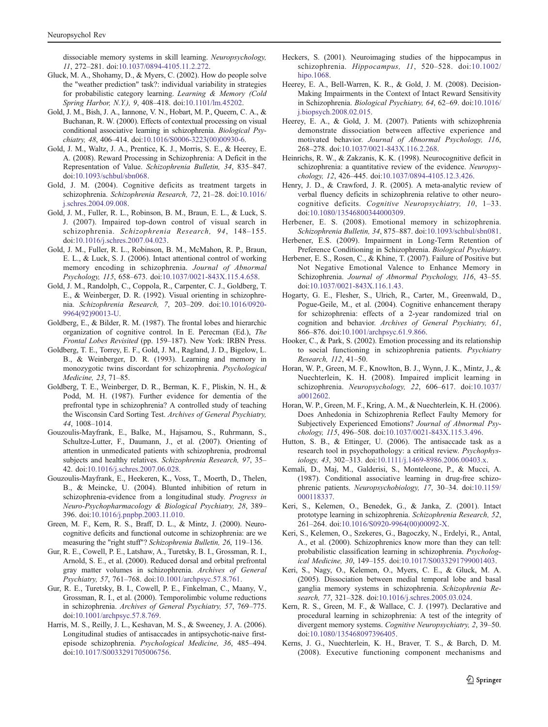<span id="page-14-0"></span>dissociable memory systems in skill learning. Neuropsychology, 11, 272–281. doi:[10.1037/0894-4105.11.2.272.](http://dx.doi.org/10.1037/0894-4105.11.2.272)

- Gluck, M. A., Shohamy, D., & Myers, C. (2002). How do people solve the "weather prediction" task?: individual variability in strategies for probabilistic category learning. Learning & Memory (Cold Spring Harbor, N.Y.), 9, 408–418. doi:[10.1101/lm.45202](http://dx.doi.org/10.1101/lm.45202).
- Gold, J. M., Bish, J. A., Iannone, V. N., Hobart, M. P., Queern, C. A., & Buchanan, R. W. (2000). Effects of contextual processing on visual conditional associative learning in schizophrenia. Biological Psychiatry, 48, 406–414. doi:[10.1016/S0006-3223\(00\)00930-6.](http://dx.doi.org/10.1016/S0006-3223(00)00930-6)
- Gold, J. M., Waltz, J. A., Prentice, K. J., Morris, S. E., & Heerey, E. A. (2008). Reward Processing in Schizophrenia: A Deficit in the Representation of Value. Schizophrenia Bulletin, 34, 835–847. doi:[10.1093/schbul/sbn068](http://dx.doi.org/10.1093/schbul/sbn068).
- Gold, J. M. (2004). Cognitive deficits as treatment targets in schizophrenia. Schizophrenia Research, 72, 21–28. doi:[10.1016/](http://dx.doi.org/10.1016/j.schres.2004.09.008) [j.schres.2004.09.008](http://dx.doi.org/10.1016/j.schres.2004.09.008).
- Gold, J. M., Fuller, R. L., Robinson, B. M., Braun, E. L., & Luck, S. J. (2007). Impaired top-down control of visual search in schizophrenia. Schizophrenia Research, 94, 148–155. doi:[10.1016/j.schres.2007.04.023](http://dx.doi.org/10.1016/j.schres.2007.04.023).
- Gold, J. M., Fuller, R. L., Robinson, B. M., McMahon, R. P., Braun, E. L., & Luck, S. J. (2006). Intact attentional control of working memory encoding in schizophrenia. Journal of Abnormal Psychology, 115, 658–673. doi[:10.1037/0021-843X.115.4.658](http://dx.doi.org/10.1037/0021-843X.115.4.658).
- Gold, J. M., Randolph, C., Coppola, R., Carpenter, C. J., Goldberg, T. E., & Weinberger, D. R. (1992). Visual orienting in schizophrenia. Schizophrenia Research, 7, 203–209. doi[:10.1016/0920-](http://dx.doi.org/10.1016/0920-9964(92)90013-U) [9964\(92\)90013-U.](http://dx.doi.org/10.1016/0920-9964(92)90013-U)
- Goldberg, E., & Bilder, R. M. (1987). The frontal lobes and hierarchic organization of cognitive control. In E. Perecman (Ed.), The Frontal Lobes Revisited (pp. 159–187). New York: IRBN Press.
- Goldberg, T. E., Torrey, E. F., Gold, J. M., Ragland, J. D., Bigelow, L. B., & Weinberger, D. R. (1993). Learning and memory in monozygotic twins discordant for schizophrenia. Psychological Medicine, 23, 71–85.
- Goldberg, T. E., Weinberger, D. R., Berman, K. F., Pliskin, N. H., & Podd, M. H. (1987). Further evidence for dementia of the prefrontal type in schizophrenia? A controlled study of teaching the Wisconsin Card Sorting Test. Archives of General Psychiatry, 44, 1008–1014.
- Gouzoulis-Mayfrank, E., Balke, M., Hajsamou, S., Ruhrmann, S., Schultze-Lutter, F., Daumann, J., et al. (2007). Orienting of attention in unmedicated patients with schizophrenia, prodromal subjects and healthy relatives. Schizophrenia Research, 97, 35– 42. doi[:10.1016/j.schres.2007.06.028.](http://dx.doi.org/10.1016/j.schres.2007.06.028)
- Gouzoulis-Mayfrank, E., Heekeren, K., Voss, T., Moerth, D., Thelen, B., & Meincke, U. (2004). Blunted inhibition of return in schizophrenia-evidence from a longitudinal study. Progress in Neuro-Psychopharmacology & Biological Psychiatry, 28, 389– 396. doi[:10.1016/j.pnpbp.2003.11.010.](http://dx.doi.org/10.1016/j.pnpbp.2003.11.010)
- Green, M. F., Kern, R. S., Braff, D. L., & Mintz, J. (2000). Neurocognitive deficits and functional outcome in schizophrenia: are we measuring the "right stuff"? Schizophrenia Bulletin, 26, 119–136.
- Gur, R. E., Cowell, P. E., Latshaw, A., Turetsky, B. I., Grossman, R. I., Arnold, S. E., et al. (2000). Reduced dorsal and orbital prefrontal gray matter volumes in schizophrenia. Archives of General Psychiatry, 57, 761–768. doi:[10.1001/archpsyc.57.8.761](http://dx.doi.org/10.1001/archpsyc.57.8.761).
- Gur, R. E., Turetsky, B. I., Cowell, P. E., Finkelman, C., Maany, V., Grossman, R. I., et al. (2000). Temporolimbic volume reductions in schizophrenia. Archives of General Psychiatry, 57, 769–775. doi:[10.1001/archpsyc.57.8.769](http://dx.doi.org/10.1001/archpsyc.57.8.769).
- Harris, M. S., Reilly, J. L., Keshavan, M. S., & Sweeney, J. A. (2006). Longitudinal studies of antisaccades in antipsychotic-naive firstepisode schizophrenia. Psychological Medicine, 36, 485–494. doi:[10.1017/S0033291705006756.](http://dx.doi.org/10.1017/S0033291705006756)
- Heckers, S. (2001). Neuroimaging studies of the hippocampus in schizophrenia. Hippocampus, 11, 520–528. doi:[10.1002/](http://dx.doi.org/10.1002/hipo.1068) [hipo.1068.](http://dx.doi.org/10.1002/hipo.1068)
- Heerey, E. A., Bell-Warren, K. R., & Gold, J. M. (2008). Decision-Making Impairments in the Context of Intact Reward Sensitivity in Schizophrenia. Biological Psychiatry, 64, 62–69. doi[:10.1016/](http://dx.doi.org/10.1016/j.biopsych.2008.02.015) [j.biopsych.2008.02.015](http://dx.doi.org/10.1016/j.biopsych.2008.02.015).
- Heerey, E. A., & Gold, J. M. (2007). Patients with schizophrenia demonstrate dissociation between affective experience and motivated behavior. Journal of Abnormal Psychology, 116, 268–278. doi[:10.1037/0021-843X.116.2.268](http://dx.doi.org/10.1037/0021-843X.116.2.268).
- Heinrichs, R. W., & Zakzanis, K. K. (1998). Neurocognitive deficit in schizophrenia: a quantitative review of the evidence. Neuropsychology, 12, 426–445. doi:[10.1037/0894-4105.12.3.426](http://dx.doi.org/10.1037/0894-4105.12.3.426).
- Henry, J. D., & Crawford, J. R. (2005). A meta-analytic review of verbal fluency deficits in schizophrenia relative to other neurocognitive deficits. Cognitive Neuropsychiatry, 10, 1–33. doi:[10.1080/13546800344000309.](http://dx.doi.org/10.1080/13546800344000309)
- Herbener, E. S. (2008). Emotional memory in schizophrenia. Schizophrenia Bulletin, 34, 875–887. doi[:10.1093/schbul/sbn081.](http://dx.doi.org/10.1093/schbul/sbn081)
- Herbener, E.S. (2009). Impairment in Long-Term Retention of Preference Conditioning in Schizophrenia. Biological Psychiatry.
- Herbener, E. S., Rosen, C., & Khine, T. (2007). Failure of Positive but Not Negative Emotional Valence to Enhance Memory in Schizophrenia. Journal of Abnormal Psychology, 116, 43–55. doi:[10.1037/0021-843X.116.1.43.](http://dx.doi.org/10.1037/0021-843X.116.1.43)
- Hogarty, G. E., Flesher, S., Ulrich, R., Carter, M., Greenwald, D., Pogue-Geile, M., et al. (2004). Cognitive enhancement therapy for schizophrenia: effects of a 2-year randomized trial on cognition and behavior. Archives of General Psychiatry, 61, 866–876. doi[:10.1001/archpsyc.61.9.866.](http://dx.doi.org/10.1001/archpsyc.61.9.866)
- Hooker, C., & Park, S. (2002). Emotion processing and its relationship to social functioning in schizophrenia patients. Psychiatry Research, 112, 41–50.
- Horan, W. P., Green, M. F., Knowlton, B. J., Wynn, J. K., Mintz, J., & Nuechterlein, K. H. (2008). Impaired implicit learning in schizophrenia. Neuropsychology, 22, 606–617. doi[:10.1037/](http://dx.doi.org/10.1037/a0012602) [a0012602](http://dx.doi.org/10.1037/a0012602).
- Horan, W. P., Green, M. F., Kring, A. M., & Nuechterlein, K. H. (2006). Does Anhedonia in Schizophrenia Reflect Faulty Memory for Subjectively Experienced Emotions? Journal of Abnormal Psychology, 115, 496–508. doi[:10.1037/0021-843X.115.3.496](http://dx.doi.org/10.1037/0021-843X.115.3.496).
- Hutton, S. B., & Ettinger, U. (2006). The antisaccade task as a research tool in psychopathology: a critical review. Psychophysiology, 43, 302–313. doi[:10.1111/j.1469-8986.2006.00403.x.](http://dx.doi.org/10.1111/j.1469-8986.2006.00403.x)
- Kemali, D., Maj, M., Galderisi, S., Monteleone, P., & Mucci, A. (1987). Conditional associative learning in drug-free schizophrenic patients. Neuropsychobiology, 17, 30–34. doi[:10.1159/](http://dx.doi.org/10.1159/000118337) [000118337.](http://dx.doi.org/10.1159/000118337)
- Keri, S., Kelemen, O., Benedek, G., & Janka, Z. (2001). Intact prototype learning in schizophrenia. Schizophrenia Research, 52, 261–264. doi[:10.1016/S0920-9964\(00\)00092-X](http://dx.doi.org/10.1016/S0920-9964(00)00092-X).
- Keri, S., Kelemen, O., Szekeres, G., Bagoczky, N., Erdelyi, R., Antal, A., et al. (2000). Schizophrenics know more than they can tell: probabilistic classification learning in schizophrenia. Psychological Medicine, 30, 149–155. doi[:10.1017/S0033291799001403](http://dx.doi.org/10.1017/S0033291799001403).
- Keri, S., Nagy, O., Kelemen, O., Myers, C. E., & Gluck, M. A. (2005). Dissociation between medial temporal lobe and basal ganglia memory systems in schizophrenia. Schizophrenia Research, 77, 321–328. doi:[10.1016/j.schres.2005.03.024](http://dx.doi.org/10.1016/j.schres.2005.03.024).
- Kern, R. S., Green, M. F., & Wallace, C. J. (1997). Declarative and procedural learning in schizophrenia: A test of the integrity of divergent memory systems. Cognitive Neuropsychiatry, 2, 39–50. doi:[10.1080/135468097396405](http://dx.doi.org/10.1080/135468097396405).
- Kerns, J. G., Nuechterlein, K. H., Braver, T. S., & Barch, D. M. (2008). Executive functioning component mechanisms and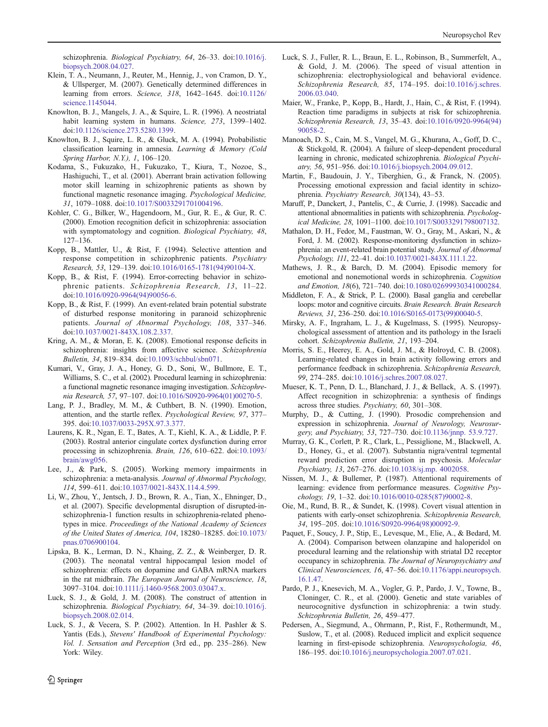<span id="page-15-0"></span>schizophrenia. Biological Psychiatry, 64, 26–33. doi:[10.1016/j.](http://dx.doi.org/10.1016/j.biopsych.2008.04.027) [biopsych.2008.04.027.](http://dx.doi.org/10.1016/j.biopsych.2008.04.027)

- Klein, T. A., Neumann, J., Reuter, M., Hennig, J., von Cramon, D. Y., & Ullsperger, M. (2007). Genetically determined differences in learning from errors. Science, 318, 1642–1645. doi[:10.1126/](http://dx.doi.org/10.1126/science.1145044) [science.1145044.](http://dx.doi.org/10.1126/science.1145044)
- Knowlton, B. J., Mangels, J. A., & Squire, L. R. (1996). A neostriatal habit learning system in humans. Science, 273, 1399-1402. doi:[10.1126/science.273.5280.1399.](http://dx.doi.org/10.1126/science.273.5280.1399)
- Knowlton, B. J., Squire, L. R., & Gluck, M. A. (1994). Probabilistic classification learning in amnesia. Learning & Memory (Cold Spring Harbor, N.Y.), 1, 106–120.
- Kodama, S., Fukuzako, H., Fukuzako, T., Kiura, T., Nozoe, S., Hashiguchi, T., et al. (2001). Aberrant brain activation following motor skill learning in schizophrenic patients as shown by functional magnetic resonance imaging. Psychological Medicine, 31, 1079–1088. doi[:10.1017/S0033291701004196](http://dx.doi.org/10.1017/S0033291701004196).
- Kohler, C. G., Bilker, W., Hagendoorn, M., Gur, R. E., & Gur, R. C. (2000). Emotion recognition deficit in schizophrenia: association with symptomatology and cognition. Biological Psychiatry, 48, 127–136.
- Kopp, B., Mattler, U., & Rist, F. (1994). Selective attention and response competition in schizophrenic patients. Psychiatry Research, 53, 129–139. doi:[10.1016/0165-1781\(94\)90104-X.](http://dx.doi.org/10.1016/0165-1781(94)90104-X)
- Kopp, B., & Rist, F. (1994). Error-correcting behavior in schizophrenic patients. Schizophrenia Research, 13, 11–22. doi:[10.1016/0920-9964\(94\)90056-6](http://dx.doi.org/10.1016/0920-9964(94)90056-6).
- Kopp, B., & Rist, F. (1999). An event-related brain potential substrate of disturbed response monitoring in paranoid schizophrenic patients. Journal of Abnormal Psychology, 108, 337–346. doi:[10.1037/0021-843X.108.2.337.](http://dx.doi.org/10.1037/0021-843X.108.2.337)
- Kring, A. M., & Moran, E. K. (2008). Emotional response deficits in schizophrenia: insights from affective science. Schizophrenia Bulletin, 34, 819–834. doi:[10.1093/schbul/sbn071](http://dx.doi.org/10.1093/schbul/sbn071).
- Kumari, V., Gray, J. A., Honey, G. D., Soni, W., Bullmore, E. T., Williams, S. C., et al. (2002). Procedural learning in schizophrenia: a functional magnetic resonance imaging investigation. Schizophrenia Research, 57, 97–107. doi[:10.1016/S0920-9964\(01\)00270-5](http://dx.doi.org/10.1016/S0920-9964(01)00270-5).
- Lang, P. J., Bradley, M. M., & Cuthbert, B. N. (1990). Emotion, attention, and the startle reflex. Psychological Review, 97, 377– 395. doi[:10.1037/0033-295X.97.3.377](http://dx.doi.org/10.1037/0033-295X.97.3.377).
- Laurens, K. R., Ngan, E. T., Bates, A. T., Kiehl, K. A., & Liddle, P. F. (2003). Rostral anterior cingulate cortex dysfunction during error processing in schizophrenia. Brain, 126, 610–622. doi:[10.1093/](http://dx.doi.org/10.1093/brain/awg056) [brain/awg056.](http://dx.doi.org/10.1093/brain/awg056)
- Lee, J., & Park, S. (2005). Working memory impairments in schizophrenia: a meta-analysis. Journal of Abnormal Psychology, 114, 599–611. doi:[10.1037/0021-843X.114.4.599](http://dx.doi.org/10.1037/0021-843X.114.4.599).
- Li, W., Zhou, Y., Jentsch, J. D., Brown, R. A., Tian, X., Ehninger, D., et al. (2007). Specific developmental disruption of disrupted-inschizophrenia-1 function results in schizophrenia-related phenotypes in mice. Proceedings of the National Academy of Sciences of the United States of America, 104, 18280–18285. doi:[10.1073/](http://dx.doi.org/10.1073/pnas.0706900104) [pnas.0706900104](http://dx.doi.org/10.1073/pnas.0706900104).
- Lipska, B. K., Lerman, D. N., Khaing, Z. Z., & Weinberger, D. R. (2003). The neonatal ventral hippocampal lesion model of schizophrenia: effects on dopamine and GABA mRNA markers in the rat midbrain. The European Journal of Neuroscience, 18, 3097–3104. doi:[10.1111/j.1460-9568.2003.03047.x](http://dx.doi.org/10.1111/j.1460-9568.2003.03047.x).
- Luck, S. J., & Gold, J. M. (2008). The construct of attention in schizophrenia. Biological Psychiatry, 64, 34–39. doi:[10.1016/j.](http://dx.doi.org/10.1016/j.biopsych.2008.02.014) [biopsych.2008.02.014.](http://dx.doi.org/10.1016/j.biopsych.2008.02.014)
- Luck, S. J., & Vecera, S. P. (2002). Attention. In H. Pashler & S. Yantis (Eds.), Stevens' Handbook of Experimental Psychology: Vol. 1. Sensation and Perception (3rd ed., pp. 235–286). New York: Wiley.
- Luck, S. J., Fuller, R. L., Braun, E. L., Robinson, B., Summerfelt, A., & Gold, J. M. (2006). The speed of visual attention in schizophrenia: electrophysiological and behavioral evidence. Schizophrenia Research, 85, 174–195. doi:[10.1016/j.schres.](http://dx.doi.org/10.1016/j.schres.2006.03.040) [2006.03.040](http://dx.doi.org/10.1016/j.schres.2006.03.040).
- Maier, W., Franke, P., Kopp, B., Hardt, J., Hain, C., & Rist, F. (1994). Reaction time paradigms in subjects at risk for schizophrenia. Schizophrenia Research, 13, 35–43. doi:[10.1016/0920-9964\(94\)](http://dx.doi.org/10.1016/0920-9964(94)90058-2) [90058-2.](http://dx.doi.org/10.1016/0920-9964(94)90058-2)
- Manoach, D. S., Cain, M. S., Vangel, M. G., Khurana, A., Goff, D. C., & Stickgold, R. (2004). A failure of sleep-dependent procedural learning in chronic, medicated schizophrenia. Biological Psychiatry, 56, 951–956. doi:[10.1016/j.biopsych.2004.09.012.](http://dx.doi.org/10.1016/j.biopsych.2004.09.012)
- Martin, F., Baudouin, J. Y., Tiberghien, G., & Franck, N. (2005). Processing emotional expression and facial identity in schizophrenia. Psychiatry Research, 30(134), 43–53.
- Maruff, P., Danckert, J., Pantelis, C., & Currie, J. (1998). Saccadic and attentional abnormalities in patients with schizophrenia. Psychological Medicine, 28, 1091–1100. doi[:10.1017/S0033291798007132](http://dx.doi.org/10.1017/S0033291798007132).
- Mathalon, D. H., Fedor, M., Faustman, W. O., Gray, M., Askari, N., & Ford, J. M. (2002). Response-monitoring dysfunction in schizophrenia: an event-related brain potential study. Journal of Abnormal Psychology, 111, 22–41. doi[:10.1037/0021-843X.111.1.22.](http://dx.doi.org/10.1037/0021-843X.111.1.22)
- Mathews, J. R., & Barch, D. M. (2004). Episodic memory for emotional and nonemotional words in schizophrenia. Cognition and Emotion, 18(6), 721–740. doi:[10.1080/02699930341000284.](http://dx.doi.org/10.1080/02699930341000284)
- Middleton, F. A., & Strick, P. L. (2000). Basal ganglia and cerebellar loops: motor and cognitive circuits. Brain Research. Brain Research Reviews, 31, 236–250. doi:[10.1016/S0165-0173\(99\)00040-5.](http://dx.doi.org/10.1016/S0165-0173(99)00040-5)
- Mirsky, A. F., Ingraham, L. J., & Kugelmass, S. (1995). Neuropsychological assessment of attention and its pathology in the Israeli cohort. Schizophrenia Bulletin, 21, 193–204.
- Morris, S. E., Heerey, E. A., Gold, J. M., & Holroyd, C. B. (2008). Learning-related changes in brain activity following errors and performance feedback in schizophrenia. Schizophrenia Research, 99, 274–285. doi:[10.1016/j.schres.2007.08.027](http://dx.doi.org/10.1016/j.schres.2007.08.027).
- Mueser, K. T., Penn, D. L., Blanchard, J. J., & Bellack, A. S. (1997). Affect recognition in schizophrenia: a synthesis of findings across three studies. Psychiatry, 60, 301–308.
- Murphy, D., & Cutting, J. (1990). Prosodic comprehension and expression in schizophrenia. Journal of Neurology, Neurosurgery, and Psychiatry, 53, 727–730. doi:[10.1136/jnnp. 53.9.727](http://dx.doi.org/10.1136/jnnp. 53.9.727).
- Murray, G. K., Corlett, P. R., Clark, L., Pessiglione, M., Blackwell, A. D., Honey, G., et al. (2007). Substantia nigra/ventral tegmental reward prediction error disruption in psychosis. Molecular Psychiatry, 13, 267–276. doi:[10.1038/sj.mp. 4002058.](http://dx.doi.org/10.1038/sj.mp. 4002058)
- Nissen, M. J., & Bullemer, P. (1987). Attentional requirements of learning: evidence from performance measures. Cognitive Psychology, 19, 1–32. doi[:10.1016/0010-0285\(87\)90002-8.](http://dx.doi.org/10.1016/0010-0285(87)90002-8)
- Oie, M., Rund, B. R., & Sundet, K. (1998). Covert visual attention in patients with early-onset schizophrenia. Schizophrenia Research, 34, 195–205. doi:[10.1016/S0920-9964\(98\)00092-9.](http://dx.doi.org/10.1016/S0920-9964(98)00092-9)
- Paquet, F., Soucy, J. P., Stip, E., Levesque, M., Elie, A., & Bedard, M. A. (2004). Comparison between olanzapine and haloperidol on procedural learning and the relationship with striatal D2 receptor occupancy in schizophrenia. The Journal of Neuropsychiatry and Clinical Neurosciences, 16, 47–56. doi:[10.1176/appi.neuropsych.](http://dx.doi.org/10.1176/appi.neuropsych.16.1.47) [16.1.47](http://dx.doi.org/10.1176/appi.neuropsych.16.1.47).
- Pardo, P. J., Knesevich, M. A., Vogler, G. P., Pardo, J. V., Towne, B., Cloninger, C. R., et al. (2000). Genetic and state variables of neurocognitive dysfunction in schizophrenia: a twin study. Schizophrenia Bulletin, 26, 459–477.
- Pedersen, A., Siegmund, A., Ohrmann, P., Rist, F., Rothermundt, M., Suslow, T., et al. (2008). Reduced implicit and explicit sequence learning in first-episode schizophrenia. Neuropsychologia, 46, 186–195. doi[:10.1016/j.neuropsychologia.2007.07.021.](http://dx.doi.org/10.1016/j.neuropsychologia.2007.07.021)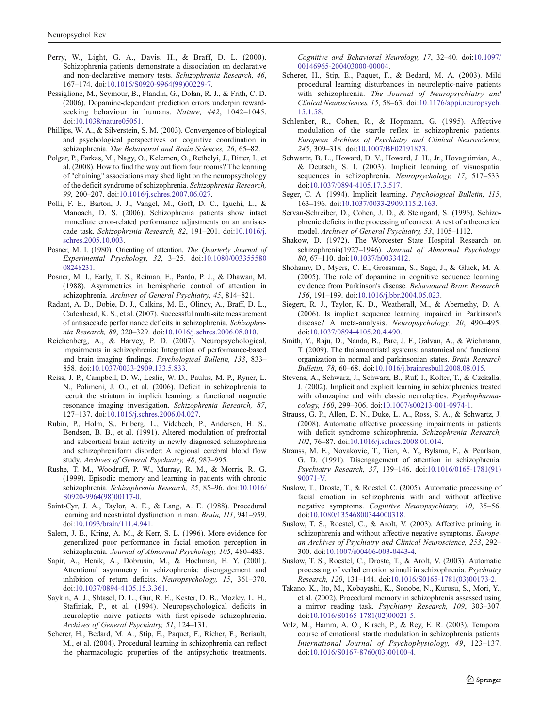- <span id="page-16-0"></span>Perry, W., Light, G. A., Davis, H., & Braff, D. L. (2000). Schizophrenia patients demonstrate a dissociation on declarative and non-declarative memory tests. Schizophrenia Research, 46, 167–174. doi[:10.1016/S0920-9964\(99\)00229-7](http://dx.doi.org/10.1016/S0920-9964(99)00229-7).
- Pessiglione, M., Seymour, B., Flandin, G., Dolan, R. J., & Frith, C. D. (2006). Dopamine-dependent prediction errors underpin rewardseeking behaviour in humans. Nature, 442, 1042–1045. doi:[10.1038/nature05051.](http://dx.doi.org/10.1038/nature05051)
- Phillips, W. A., & Silverstein, S. M. (2003). Convergence of biological and psychological perspectives on cognitive coordination in schizophrenia. The Behavioral and Brain Sciences, 26, 65–82.
- Polgar, P., Farkas, M., Nagy, O., Kelemen, O., Rethelyi, J., Bitter, I., et al. (2008). How to find the way out from four rooms? The learning of "chaining" associations may shed light on the neuropsychology of the deficit syndrome of schizophrenia. Schizophrenia Research, 99, 200–207. doi:[10.1016/j.schres.2007.06.027](http://dx.doi.org/10.1016/j.schres.2007.06.027).
- Polli, F. E., Barton, J. J., Vangel, M., Goff, D. C., Iguchi, L., & Manoach, D. S. (2006). Schizophrenia patients show intact immediate error-related performance adjustments on an antisaccade task. Schizophrenia Research, 82, 191–201. doi:[10.1016/j.](http://dx.doi.org/10.1016/j.schres.2005.10.003) [schres.2005.10.003.](http://dx.doi.org/10.1016/j.schres.2005.10.003)
- Posner, M. I. (1980). Orienting of attention. The Quarterly Journal of Experimental Psychology, 32, 3–25. doi:[10.1080/003355580](http://dx.doi.org/10.1080/00335558008248231) [08248231.](http://dx.doi.org/10.1080/00335558008248231)
- Posner, M. I., Early, T. S., Reiman, E., Pardo, P. J., & Dhawan, M. (1988). Asymmetries in hemispheric control of attention in schizophrenia. Archives of General Psychiatry, 45, 814-821.
- Radant, A. D., Dobie, D. J., Calkins, M. E., Olincy, A., Braff, D. L., Cadenhead, K. S., et al. (2007). Successful multi-site measurement of antisaccade performance deficits in schizophrenia. Schizophrenia Research, 89, 320–329. doi[:10.1016/j.schres.2006.08.010.](http://dx.doi.org/10.1016/j.schres.2006.08.010)
- Reichenberg, A., & Harvey, P. D. (2007). Neuropsychological, impairments in schizophrenia: Integration of performance-based and brain imaging findings. Psychological Bulletin, 133, 833– 858. doi[:10.1037/0033-2909.133.5.833.](http://dx.doi.org/10.1037/0033-2909.133.5.833)
- Reiss, J. P., Campbell, D. W., Leslie, W. D., Paulus, M. P., Ryner, L. N., Polimeni, J. O., et al. (2006). Deficit in schizophrenia to recruit the striatum in implicit learning: a functional magnetic resonance imaging investigation. Schizophrenia Research, 87, 127–137. doi[:10.1016/j.schres.2006.04.027.](http://dx.doi.org/10.1016/j.schres.2006.04.027)
- Rubin, P., Holm, S., Friberg, L., Videbech, P., Andersen, H. S., Bendsen, B. B., et al. (1991). Altered modulation of prefrontal and subcortical brain activity in newly diagnosed schizophrenia and schizophreniform disorder: A regional cerebral blood flow study. Archives of General Psychiatry, 48, 987–995.
- Rushe, T. M., Woodruff, P. W., Murray, R. M., & Morris, R. G. (1999). Episodic memory and learning in patients with chronic schizophrenia. Schizophrenia Research, 35, 85–96. doi:[10.1016/](http://dx.doi.org/10.1016/S0920-9964(98)00117-0) [S0920-9964\(98\)00117-0.](http://dx.doi.org/10.1016/S0920-9964(98)00117-0)
- Saint-Cyr, J. A., Taylor, A. E., & Lang, A. E. (1988). Procedural learning and neostriatal dysfunction in man. Brain, 111, 941–959. doi:[10.1093/brain/111.4.941](http://dx.doi.org/10.1093/brain/111.4.941).
- Salem, J. E., Kring, A. M., & Kerr, S. L. (1996). More evidence for generalized poor performance in facial emotion perception in schizophrenia. Journal of Abnormal Psychology, 105, 480–483.
- Sapir, A., Henik, A., Dobrusin, M., & Hochman, E. Y. (2001). Attentional asymmetry in schizophrenia: disengagement and inhibition of return deficits. Neuropsychology, 15, 361–370. doi:[10.1037/0894-4105.15.3.361.](http://dx.doi.org/10.1037/0894-4105.15.3.361)
- Saykin, A. J., Shtasel, D. L., Gur, R. E., Kester, D. B., Mozley, L. H., Stafiniak, P., et al. (1994). Neuropsychological deficits in neuroleptic naive patients with first-episode schizophrenia. Archives of General Psychiatry, 51, 124–131.
- Scherer, H., Bedard, M. A., Stip, E., Paquet, F., Richer, F., Beriault, M., et al. (2004). Procedural learning in schizophrenia can reflect the pharmacologic properties of the antipsychotic treatments.

Cognitive and Behavioral Neurology, 17, 32–40. doi[:10.1097/](http://dx.doi.org/10.1097/00146965-200403000-00004) [00146965-200403000-00004](http://dx.doi.org/10.1097/00146965-200403000-00004).

- Scherer, H., Stip, E., Paquet, F., & Bedard, M. A. (2003). Mild procedural learning disturbances in neuroleptic-naive patients with schizophrenia. The Journal of Neuropsychiatry and Clinical Neurosciences, 15, 58–63. doi:[10.1176/appi.neuropsych.](http://dx.doi.org/10.1176/appi.neuropsych.15.1.58) [15.1.58.](http://dx.doi.org/10.1176/appi.neuropsych.15.1.58)
- Schlenker, R., Cohen, R., & Hopmann, G. (1995). Affective modulation of the startle reflex in schizophrenic patients. European Archives of Psychiatry and Clinical Neuroscience, 245, 309–318. doi:[10.1007/BF02191873.](http://dx.doi.org/10.1007/BF02191873)
- Schwartz, B. L., Howard, D. V., Howard, J. H., Jr., Hovaguimian, A., & Deutsch, S. I. (2003). Implicit learning of visuospatial sequences in schizophrenia. Neuropsychology, 17, 517–533. doi:[10.1037/0894-4105.17.3.517.](http://dx.doi.org/10.1037/0894-4105.17.3.517)
- Seger, C. A. (1994). Implicit learning. Psychological Bulletin, 115, 163–196. doi[:10.1037/0033-2909.115.2.163.](http://dx.doi.org/10.1037/0033-2909.115.2.163)
- Servan-Schreiber, D., Cohen, J. D., & Steingard, S. (1996). Schizophrenic deficits in the processing of context: A test of a theoretical model. Archives of General Psychiatry, 53, 1105–1112.
- Shakow, D. (1972). The Worcester State Hospital Research on schizophrenia(1927–1946). Journal of Abnormal Psychology, 80, 67–110. doi[:10.1037/h0033412.](http://dx.doi.org/10.1037/h0033412)
- Shohamy, D., Myers, C. E., Grossman, S., Sage, J., & Gluck, M. A. (2005). The role of dopamine in cognitive sequence learning: evidence from Parkinson's disease. Behavioural Brain Research, 156, 191–199. doi:[10.1016/j.bbr.2004.05.023](http://dx.doi.org/10.1016/j.bbr.2004.05.023).
- Siegert, R. J., Taylor, K. D., Weatherall, M., & Abernethy, D. A. (2006). Is implicit sequence learning impaired in Parkinson's disease? A meta-analysis. Neuropsychology, 20, 490–495. doi:[10.1037/0894-4105.20.4.490.](http://dx.doi.org/10.1037/0894-4105.20.4.490)
- Smith, Y., Raju, D., Nanda, B., Pare, J. F., Galvan, A., & Wichmann, T. (2009). The thalamostriatal systems: anatomical and functional organization in normal and parkinsonian states. Brain Research Bulletin, 78, 60–68. doi:[10.1016/j.brainresbull.2008.08.015](http://dx.doi.org/10.1016/j.brainresbull.2008.08.015).
- Stevens, A., Schwarz, J., Schwarz, B., Ruf, I., Kolter, T., & Czekalla, J. (2002). Implicit and explicit learning in schizophrenics treated with olanzapine and with classic neuroleptics. Psychopharmacology, 160, 299–306. doi:[10.1007/s00213-001-0974-1](http://dx.doi.org/10.1007/s00213-001-0974-1).
- Strauss, G. P., Allen, D. N., Duke, L. A., Ross, S. A., & Schwartz, J. (2008). Automatic affective processing impairments in patients with deficit syndrome schizophrenia. Schizophrenia Research, 102, 76–87. doi[:10.1016/j.schres.2008.01.014](http://dx.doi.org/10.1016/j.schres.2008.01.014).
- Strauss, M. E., Novakovic, T., Tien, A. Y., Bylsma, F., & Pearlson, G. D. (1991). Disengagement of attention in schizophrenia. Psychiatry Research, 37, 139–146. doi:[10.1016/0165-1781\(91\)](http://dx.doi.org/10.1016/0165-1781(91)90071-V) [90071-V.](http://dx.doi.org/10.1016/0165-1781(91)90071-V)
- Suslow, T., Droste, T., & Roestel, C. (2005). Automatic processing of facial emotion in schizophrenia with and without affective negative symptoms. Cognitive Neuropsychiatry, 10, 35–56. doi:[10.1080/13546800344000318.](http://dx.doi.org/10.1080/13546800344000318)
- Suslow, T. S., Roestel, C., & Arolt, V. (2003). Affective priming in schizophrenia and without affective negative symptoms. European Archives of Psychiatry and Clinical Neuroscience, 253, 292– 300. doi[:10.1007/s00406-003-0443-4.](http://dx.doi.org/10.1007/s00406-003-0443-4)
- Suslow, T. S., Roestel, C., Droste, T., & Arolt, V. (2003). Automatic processing of verbal emotion stimuli in schizophrenia. Psychiatry Research, 120, 131–144. doi:[10.1016/S0165-1781\(03\)00173-2](http://dx.doi.org/10.1016/S0165-1781(03)00173-2).
- Takano, K., Ito, M., Kobayashi, K., Sonobe, N., Kurosu, S., Mori, Y., et al. (2002). Procedural memory in schizophrenia assessed using a mirror reading task. Psychiatry Research, 109, 303–307. doi:[10.1016/S0165-1781\(02\)00021-5.](http://dx.doi.org/10.1016/S0165-1781(02)00021-5)
- Volz, M., Hamm, A. O., Kirsch, P., & Rey, E. R. (2003). Temporal course of emotional startle modulation in schizophrenia patients. International Journal of Psychophysiology, 49, 123–137. doi:[10.1016/S0167-8760\(03\)00100-4.](http://dx.doi.org/10.1016/S0167-8760(03)00100-4)